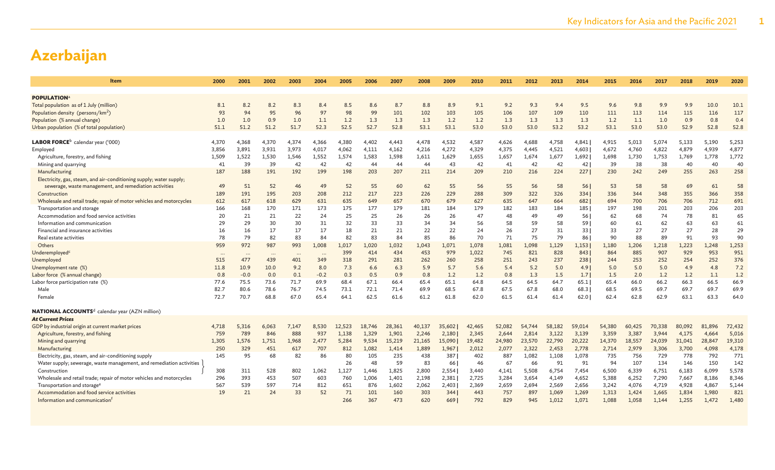| Item                                                                 | 2000     | 2001     | 2002     | 2003     | 2004   | 2005   | 2006   | 2007   | 2008   | 2009   | 2010   | 2011   | 2012   | 2013   | 2014   | 2015   | 2016   | 2017   | 2018   | 2019   | 2020   |
|----------------------------------------------------------------------|----------|----------|----------|----------|--------|--------|--------|--------|--------|--------|--------|--------|--------|--------|--------|--------|--------|--------|--------|--------|--------|
| <b>POPULATION</b> <sup>a</sup>                                       |          |          |          |          |        |        |        |        |        |        |        |        |        |        |        |        |        |        |        |        |        |
| Total population as of 1 July (million)                              | 8.1      | 8.2      | 8.2      | 8.3      | 8.4    | 8.5    | 8.6    | 8.7    | 8.8    | 8.9    | 9.1    | 9.2    | 9.3    | 9.4    | 9.5    | 9.6    | 9.8    | 9.9    | 9.9    | 10.0   | 10.1   |
| Population density (persons/km <sup>2</sup> )                        | 93       | 94       | 95       | 96       | 97     | 98     | 99     | 101    | 102    | 103    | 105    | 106    | 107    | 109    | 110    | 111    | 113    | 114    | 115    | 116    | 117    |
| Population (% annual change)                                         | 1.0      | 1.0      | 0.9      | 1.0      | 1.1    | 1.2    | 1.3    | 1.3    | 1.3    | 1.2    | 1.2    | 1.3    | 1.3    | 1.3    | 1.3    | 1.2    | 1.1    | 1.0    | 0.9    | 0.8    | 0.4    |
| Urban population (% of total population)                             | 51.1     | 51.2     | 51.2     | 51.7     | 52.3   | 52.5   | 52.7   | 52.8   | 53.1   | 53.1   | 53.0   | 53.0   | 53.0   | 53.2   | 53.2   | 53.1   | 53.0   | 53.0   | 52.9   | 52.8   | 52.8   |
|                                                                      |          |          |          |          |        |        |        |        |        |        |        |        |        |        |        |        |        |        |        |        |        |
| ${\sf LABOR}$ FORCE $^{\rm b}$ calendar year ('000)                  | 4,370    | 4,368    | 4,370    | 4,374    | 4,366  | 4,380  | 4,402  | 4,443  | 4,478  | 4,532  | 4,587  | 4,626  | 4,688  | 4,758  | 4,841  | 4,915  | 5,013  | 5,074  | 5,133  | 5,190  | 5,253  |
| Employed                                                             | 3,856    | 3,891    | 3,931    | 3,973    | 4,017  | 4,062  | 4,111  | 4,162  | 4,216  | 4,272  | 4,329  | 4,375  | 4,445  | 4,521  | 4,603  | 4,672  | 4,760  | 4,822  | 4,879  | 4,939  | 4,877  |
| Agriculture, forestry, and fishing                                   | 1,509    | 1,522    | 1,530    | 1,546    | 1,552  | 1,574  | 1,583  | 1,598  | 1,611  | 1,629  | 1,655  | 1,657  | 1,674  | 1,677  | 1,692  | 1,698  | 1,730  | 1,753  | 1,769  | 1,778  | 1,772  |
| Mining and quarrying                                                 | 41       | 39       | 39       | 42       | 42     | 42     | 44     | 44     | 44     | 43     | 42     | 41     | 42     | 42     | 42     | 39     | 38     | 38     | 40     | 40     | 40     |
| Manufacturing                                                        | 187      | 188      | 191      | 192      | 199    | 198    | 203    | 207    | 211    | 214    | 209    | 210    | 216    | 224    | 227    | 230    | 242    | 249    | 255    | 263    | 258    |
| Electricity, gas, steam, and air-conditioning supply; water supply;  |          |          |          |          |        |        |        |        |        |        |        |        |        |        |        |        |        |        |        |        |        |
| sewerage, waste management, and remediation activities               | 49       | 51       | 52       | 46       | 49     | 52     | 55     | 60     | 62     | 55     | 56     | 55     | 56     | 58     | 56     | 53     | 58     | 58     | 69     | 61     | 58     |
| Construction                                                         | 189      | 191      | 195      | 203      | 208    | 212    | 217    | 223    | 226    | 229    | 288    | 309    | 322    | 326    | 334    | 336    | 344    | 348    | 355    | 366    | 358    |
| Wholesale and retail trade; repair of motor vehicles and motorcycles | 612      | 617      | 618      | 629      | 631    | 635    | 649    | 657    | 670    | 679    | 627    | 635    | 647    | 664    | 682    | 694    | 700    | 706    | 706    | 712    | 691    |
| Transportation and storage                                           | 166      | 168      | 170      | 171      | 173    | 175    | 177    | 179    | 181    | 184    | 179    | 182    | 183    | 184    | 185    | 197    | 198    | 201    | 203    | 206    | 203    |
| Accommodation and food service activities                            | 20       | 21       | 21       | 22       | 24     | 25     | 25     | 26     | 26     | 26     | 47     | 48     | 49     | 49     | 56     | 62     | 68     | 74     | 78     | 81     | 65     |
| Information and communication                                        | 29       | 29       | 30       | 30       | 31     | 32     | 33     | 33     | 34     | 34     | 56     | 58     | 59     | 58     | 59     | 60     | 61     | 62     | 63     | 63     | 61     |
| Financial and insurance activities                                   | 16       | 16       | 17       | 17       | 17     | 18     | 21     | 21     | 22     | 22     | 24     | 26     | 27     | 31     | 33     | 33     | 27     | 27     | 27     | 28     | 29     |
| Real estate activities                                               | 78       | 79       | 82       | 83       | 84     | 82     | 83     | 84     | 85     | 86     | 70     | 71     | 75     | 79     | 86     | 90     | 88     | 89     | 91     | 93     | 90     |
| Others                                                               | 959      | 972      | 987      | 993      | 1,008  | 1,017  | 1,020  | 1,032  | 1,043  | 1,071  | 1,078  | 1,081  | 1,098  | 1,129  | 1,153  | 1,180  | 1,206  | 1,218  | 1,223  | 1,248  | 1,253  |
| Underemployed <sup>c</sup>                                           | $\cdots$ | $\cdots$ | $\cdots$ | $\cdots$ |        | 399    | 414    | 434    | 453    | 979    | 1,022  | 745    | 821    | 828    | 843    | 864    | 885    | 907    | 929    | 953    | 951    |
| Unemployed                                                           | 515      | 477      | 439      | 401      | 349    | 318    | 291    | 281    | 262    | 260    | 258    | 251    | 243    | 237    | 238    | 244    | 253    | 252    | 254    | 252    | 376    |
| Unemployment rate (%)                                                | 11.8     | 10.9     | 10.0     | 9.2      | 8.0    | 7.3    | 6.6    | 6.3    | 5.9    | 5.7    | 5.6    | 5.4    | 5.2    | 5.0    | 4.9    | 5.0    | 5.0    | 5.0    | 4.9    | 4.8    | 7.2    |
| Labor force (% annual change)                                        | 0.8      | $-0.0$   | 0.0      | 0.1      | $-0.2$ | 0.3    | 0.5    | 0.9    | 0.8    | 1.2    | 1.2    | 0.8    | 1.3    | 1.5    | 1.7    | 1.5    | 2.0    | 1.2    | 1.2    | 1.1    | 1.2    |
| Labor force participation rate (%)                                   | 77.6     | 75.5     | 73.6     | 71.7     | 69.9   | 68.4   | 67.1   | 66.4   | 65.4   | 65.1   | 64.8   | 64.5   | 64.5   | 64.7   | 65.1   | 65.4   | 66.0   | 66.2   | 66.3   | 66.5   | 66.9   |
| Male                                                                 | 82.7     | 80.6     | 78.6     | 76.7     | 74.5   | 73.1   | 72.1   | 71.4   | 69.9   | 68.5   | 67.8   | 67.5   | 67.8   | 68.0   | 68.3   | 68.5   | 69.5   | 69.7   | 69.7   | 69.7   | 69.9   |
| Female                                                               | 72.7     | 70.7     | 68.8     | 67.0     | 65.4   | 64.1   | 62.5   | 61.6   | 61.2   | 61.8   | 62.0   | 61.5   | 61.4   | 61.4   | 62.0   | 62.4   | 62.8   | 62.9   | 63.1   | 63.3   | 64.0   |
| NATIONAL ACCOUNTS <sup>d</sup> calendar year (AZN million)           |          |          |          |          |        |        |        |        |        |        |        |        |        |        |        |        |        |        |        |        |        |
| <b>At Current Prices</b>                                             |          |          |          |          |        |        |        |        |        |        |        |        |        |        |        |        |        |        |        |        |        |
| GDP by industrial origin at current market prices                    | 4,718    | 5,316    | 6,063    | 7,147    | 8,530  | 12,523 | 18.746 | 28,361 | 40,137 | 35,602 | 42,465 | 52,082 | 54,744 | 58,182 | 59,014 | 54,380 | 60,425 | 70,338 | 80,092 | 81,896 | 72,432 |
| Agriculture, forestry, and fishing                                   | 759      | 789      | 846      | 888      | 937    | 1,138  | 1,329  | 1,901  | 2,246  | 2,180  | 2,345  | 2,644  | 2,814  | 3,122  | 3,139  | 3,359  | 3,387  | 3,944  | 4,175  | 4,664  | 5,016  |
| Mining and quarrying                                                 | 1,305    | 1,576    | 1,751    | 1,968    | 2,477  | 5,284  | 9,534  | 15,219 | 21,165 | 15,090 | 19,482 | 24,980 | 23,570 | 22,790 | 20,222 | 14,370 | 18,557 | 24,039 | 31,041 | 28,847 | 19,310 |
| Manufacturing                                                        | 250      | 329      | 451      | 617      | 707    | 812    | 1,082  | 1,414  | 1,889  | 1,967  | 2,012  | 2,077  | 2,322  | 2,453  | 2,778  | 2,714  | 2,979  | 3,306  | 3,700  | 4,098  | 4,178  |
| Electricity, gas, steam, and air-conditioning supply                 | 145      | 95       | 68       | 82       | 86     | 80     | 105    | 235    | 438    | 387    | 402    | 887    | 1,082  | 1,108  | 1,078  | 735    | 756    | 729    | 778    | 792    | 771    |
| Water supply; sewerage, waste management, and remediation activities |          |          |          |          |        | 26     | 48     | 59     | 83     | 66     | 46     | 67     | 66     | 91     | 91     | 94     | 107    | 134    | 146    | 150    | 142    |
| Construction                                                         | 308      | 311      | 528      | 802      | 1,062  | 1,127  | 1,446  | 1,825  | 2,800  | 2,554  | 3,440  | 4,141  | 5,508  | 6,754  | 7,454  | 6,500  | 6,339  | 6,751  | 6,183  | 6,099  | 5,578  |
| Wholesale and retail trade; repair of motor vehicles and motorcycles | 296      | 393      | 453      | 507      | 603    | 760    | 1,006  | 1,401  | 2,198  | 2,381  | 2,725  | 3,284  | 3,654  | 4,149  | 4,652  | 5,388  | 6,252  | 7,290  | 7,667  | 8,186  | 8,346  |
| Transportation and storage <sup>e</sup>                              | 567      | 539      | 597      | 714      | 812    | 651    | 876    | 1,602  | 2,062  | 2,403  | 2,369  | 2,659  | 2,694  | 2,569  | 2,656  | 3,242  | 4,076  | 4,719  | 4,928  | 4,867  | 5,144  |
| Accommodation and food service activities                            | 19       | 21       | 24       | 33       | 52     | 71     | 101    | 160    | 303    | 344    | 443    | 757    | 897    | 1,069  | 1,269  | 1,313  | 1,424  | 1,665  | 1,834  | 1,980  | 821    |
| Information and communication <sup>t</sup>                           |          |          |          |          |        | 266    | 367    | 473    | 620    | 669    | 792    | 829    | 945    | 1,012  | 1,071  | 1,088  | 1,058  | 1.144  | 1,255  | 1,472  | 1,480  |
|                                                                      |          |          |          |          |        |        |        |        |        |        |        |        |        |        |        |        |        |        |        |        |        |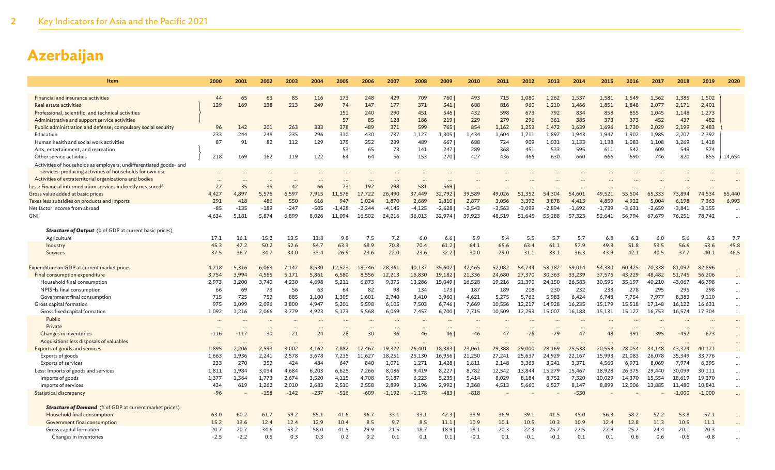| <b>Item</b>                                                              | 2000         | 2001          | 2002         | 2003         | 2004          | 2005               | 2006               | 2007              | 2008               | 2009               | 2010               | 2011               | 2012               | 2013               | 2014               | 2015               | 2016               | 2017               | 2018               | 2019               | 2020      |
|--------------------------------------------------------------------------|--------------|---------------|--------------|--------------|---------------|--------------------|--------------------|-------------------|--------------------|--------------------|--------------------|--------------------|--------------------|--------------------|--------------------|--------------------|--------------------|--------------------|--------------------|--------------------|-----------|
|                                                                          |              |               |              |              |               |                    |                    |                   |                    |                    |                    |                    |                    |                    |                    |                    |                    |                    |                    |                    |           |
| Financial and insurance activities                                       | 44           | 65            | 63           | 85           | 116           | 173                | 248                | 429               | 709                | 760                | 493                | 715                | 1,080              | 1,262              | 1,537              | 1,581              | 1,549              | 1,562              | 1,385              | 1,502              |           |
| Real estate activities                                                   | 129          | 169           | 138          | 213          | 249           | 74                 | 147                | 177               | 371                | 541                | 688                | 816                | 960                | 1,210              | 1,466              | 1,851              | 1,848              | 2,077              | 2,171              | 2,401              |           |
| Professional, scientific, and technical activities                       |              |               |              |              |               | 151                | 240                | 290               | 451                | 546                | 432                | 598                | 673                | 792                | 834                | 858                | 855                | 1,045              | 1,148              | 1,273              |           |
| Administrative and support service activities                            |              |               |              |              |               | 57                 | 85                 | 128               | 186                | 219                | 229                | 279                | 296                | 361                | 385                | 373                | 373                | 452                | 437                | 482                |           |
| Public administration and defense; compulsory social security            | 96           | 142           | 201          | 263          | 333           | 378                | 489                | 371               | 599                | 765                | 854                | 1,162              | 1,253              | 1.472              | 1,639              | 1,696              | 1,730              | 2,029              | 2,199              | 2,483              |           |
| Education                                                                | 233          | 244           | 248          | 235          | 296           | 310                | 430                | 737               | 1,127              | 1,305              | 1,434              | 1,604              | 1,711              | 1,897              | 1,943              | 1,947              | 1,902              | 1,985              | 2,207              | 2,392              |           |
| Human health and social work activities                                  | 87           | 91            | 82           | 112          | 129           | 175                | 252                | 239               | 489                | 667                | 688                | 724                | 909                | 1,031              | 1,133              | 1,138              | 1,083              | 1,108              | 1,269              | 1,418              |           |
| Arts, entertainment, and recreation                                      |              |               |              |              |               | 53                 | 65                 | 73                | 141                | 247                | 289                | 368                | 451                | 533                | 595                | 611                | 542                | 609                | 549                | 574                |           |
| Other service activities                                                 | 218          | 169           | 162          | 119          | 122           | 64                 | 64                 | 56                | 153                | 270                | 427                | 436                | 466                | 630                | 660                | 666                | 690                | 746                | 820                | 855                | 14,654    |
| Activities of households as employers; undifferentiated goods- and       |              |               |              |              |               |                    |                    |                   |                    |                    |                    |                    |                    |                    |                    |                    |                    |                    |                    |                    |           |
| services-producing activities of households for own use                  |              |               |              |              |               |                    |                    |                   |                    |                    |                    |                    |                    |                    |                    |                    |                    |                    |                    |                    |           |
| Activities of extraterritorial organizations and bodies                  |              |               |              |              |               |                    |                    |                   |                    | $\cdots$           |                    |                    |                    |                    |                    |                    |                    |                    |                    |                    |           |
| Less: Financial intermediation services indirectly measured <sup>g</sup> | 27           | 35            | 35           | 42           | 66            | 73                 | 192                | 298               | 581                | 569                | $\ddotsc$          |                    |                    |                    |                    |                    |                    |                    |                    |                    |           |
| Gross value added at basic prices                                        | 4,427        | 4.897         | 5,576<br>486 | 6,597<br>550 | 7.915         | 11.576             | 17.722             | 26,490            | 37,449             | 32.792             | 39,589             | 49,026             | 51,352             | 54,304             | 54,601             | 49,521             | 55,504             | 65,333             | 73,894             | 74,534             | 65,440    |
| Taxes less subsidies on products and imports                             | 291<br>$-85$ | 418<br>$-135$ | $-189$       | $-247$       | 616<br>$-505$ | 947                | 1,024              | 1,870<br>$-4,145$ | 2,689              | 2,810              | 2,877              | 3,056              | 3,392              | 3,878              | 4,413              | 4,859              | 4,922              | 5,004              | 6,198              | 7,363              | 6,993     |
| Net factor income from abroad<br>GNI                                     | 4.634        | 5,181         | 5,874        | 6,899        | 8,026         | $-1,428$<br>11.094 | $-2,244$<br>16,502 | 24,216            | $-4,125$<br>36,013 | $-2,628$<br>32,974 | $-2,543$<br>39,923 | $-3,563$<br>48,519 | $-3,099$<br>51.645 | $-2,894$<br>55,288 | $-1,692$<br>57,323 | $-1,739$<br>52,641 | $-3,631$<br>56,794 | $-2,659$<br>67,679 | $-3,841$<br>76,251 | $-3,155$<br>78,742 | $\ddots$  |
|                                                                          |              |               |              |              |               |                    |                    |                   |                    |                    |                    |                    |                    |                    |                    |                    |                    |                    |                    |                    | $\ddotsc$ |
| <b>Structure of Output</b> (% of GDP at current basic prices)            |              |               |              |              |               |                    |                    |                   |                    |                    |                    |                    |                    |                    |                    |                    |                    |                    |                    |                    |           |
| Agriculture                                                              | 17.1         | 16.1          | 15.2         | 13.5         | 11.8          | 9.8                | 7.5                | 7.2               | 6.0                | 6.6                | 5.9                | 5.4                | 5.5                | 5.7                | 5.7                | 6.8                | $6.1$              | 6.0                | 5.6                | 6.3                | 7.7       |
| Industry                                                                 | 45.3         | 47.2          | 50.2         | 52.6         | 54.7          | 63.3               | 68.9               | 70.8              | 70.4               | 61.2               | 64.1               | 65.6               | 63.4               | 61.1               | 57.9               | 49.3               | 51.8               | 53.5               | 56.6               | 53.6               | 45.8      |
| <b>Services</b>                                                          | 37.5         | 36.7          | 34.7         | 34.0         | 33.4          | 26.9               | 23.6               | 22.0              | 23.6               | 32.2               | 30.0               | 29.0               | 31.1               | 33.1               | 36.3               | 43.9               | 42.1               | 40.5               | 37.7               | 40.1               | 46.5      |
|                                                                          |              |               |              |              |               |                    |                    |                   |                    |                    |                    |                    |                    |                    |                    |                    |                    |                    |                    |                    |           |
| Expenditure on GDP at current market prices                              | 4,718        | 5,316         | 6,063        | 7,147        | 8,530         | 12.523             | 18.746             | 28,361            | 40,137             | 35,602             | 42,465             | 52,082             | 54,744             | 58,182             | 59,014             | 54,380             | 60,425             | 70,338             | 81.092             | 82,896             |           |
| Final consumption expenditure                                            | 3,754        | 3,994         | 4,565        | 5,171        | 5,861         | 6,580              | 8,556              | 12,213            | 16,830             | 19,182             | 21,336             | 24,680             | 27,370             | 30,363             | 33,239             | 37,576             | 43,229             | 48,482             | 51,745             | 56,206             |           |
| Household final consumption                                              | 2.973        | 3,200         | 3.740        | 4,230        | 4,698         | 5.211              | 6,873              | 9,375             | 13,286             | 15,049             | 16,528             | 19,216             | 21,390             | 24,150             | 26,583             | 30,595             | 35,197             | 40,210             | 43,067             | 46,798             | $\ddots$  |
| NPISHs final consumption                                                 | 66           | 69            | 73           | 56           | 63            | 64                 | 82                 | 98                | 134                | 173                | 187                | 189                | 218                | 230                | 232                | 233                | 278                | 295                | 295                | 298                | $\cdots$  |
| Government final consumption                                             | 715          | 725           | 752          | 885          | 1,100         | 1,305              | 1,601              | 2,740             | 3,410              | 3,960              | 4,621              | 5,275              | 5,762              | 5,983              | 6,424              | 6,748              | 7,754              | 7,977              | 8,383              | 9,110              | $\cdots$  |
| Gross capital formation                                                  | 975          | 1.099         | 2.096        | 3,800        | 4.947         | 5,201              | 5,598              | 6.105             | 7,503              | 6,746              | 7,669              | 10,556             | 12.217             | 14.928             | 16,235             | 15,179             | 15.518             | 17.148             | 16,122             | 16,631             | $\ddots$  |
| Gross fixed capital formation                                            | 1,092        | 1,216         | 2,066        | 3,779        | 4,923         | 5,173              | 5,568              | 6,069             | 7,457              | 6,700              | 7,715              | 10,509             | 12,293             | 15,007             | 16,188             | 15,131             | 15,127             | 16,753             | 16,574             | 17,304             | $\ddots$  |
| Public                                                                   |              |               |              |              |               |                    |                    |                   |                    |                    |                    |                    |                    |                    |                    |                    |                    |                    |                    |                    |           |
| Private                                                                  |              |               |              |              | $\cdots$      |                    |                    |                   |                    | $\cdots$           |                    |                    |                    |                    |                    |                    |                    |                    |                    |                    |           |
| Changes in inventories                                                   | $-116$       | $-117$        | 30           | 21           | 24            | 28                 | 30                 | 36                | 46                 | 46                 | $-46$              | 47                 | $-76$              | $-79$              | 47                 | 48                 | 391                | 395                | $-452$             | $-673$             |           |
| Acquisitions less disposals of valuables                                 |              |               |              |              |               |                    |                    |                   |                    |                    |                    |                    |                    |                    |                    |                    |                    |                    |                    |                    |           |
| Exports of goods and services                                            | 1,895        | 2,206         | 2,593        | 3,002        | 4,162         | 7,882              | 12,467             | 19,322            | 26,401             | 18,383             | 23,061             | 29,388             | 29,000             | 28,169             | 25,538             | 20,553             | 28,054             | 34,148             | 43,324             | 40,171             |           |
| Exports of goods                                                         | 1,663        | 1,936         | 2,241        | 2,578        | 3,678         | 7,235              | 11,627             | 18,251            | 25,130             | 16,956             | 21,250             | 27,241             | 25,637             | 24,929             | 22,167             | 15,993             | 21,083             | 26,078             | 35,349             | 33,776             |           |
| <b>Exports of services</b>                                               | 233          | 270           | 352          | 424          | 484           | 647                | 840                | 1,071             | 1,271              | 1,428              | 1,811              | 2,148              | 3,363              | 3,241              | 3,371              | 4,560              | 6,971              | 8,069              | 7,974              | 6,395              | $\ldots$  |
| Less: Imports of goods and services                                      | 1,811        | 1,984         | 3,034        | 4,684        | 6,203         | 6,625              | 7,266              | 8,086             | 9,419              | 8,227              | 8,782              | 12,542             | 13,844             | 15,279             | 15,467             | 18,928             | 26,375             | 29,440             | 30,099             | 30,111             | $\ldots$  |
| Imports of goods                                                         | 1,377        | 1,364         | 1,773        | 2,674        | 3,520         | 4,115              | 4,708              | 5,187             | 6,223              | 5,235              | 5,414              | 8,029              | 8,184              | 8,752              | 7,320              | 10,029             | 14,370             | 15,554             | 18,619             | 19,270             | $\ddots$  |
| Imports of services                                                      | 434          | 619           | 1,262        | 2,010        | 2,683         | 2,510              | 2,558              | 2,899             | 3,196              | 2,992              | 3,368              | 4,513              | 5,660              | 6,527              | 8,147              | 8,899              | 12,006             | 13,885             | 11,480             | 10,841             | $\ddots$  |
| Statistical discrepancy                                                  | $-96$        |               | $-158$       | $-142$       | $-237$        | $-516$             | $-609$             | $-1,192$          | $-1.178$           | $-483$             | $-818$             |                    |                    |                    | $-530$             |                    |                    |                    | $-1,000$           | $-1,000$           |           |
|                                                                          |              |               |              |              |               |                    |                    |                   |                    |                    |                    |                    |                    |                    |                    |                    |                    |                    |                    |                    |           |
| <b>Structure of Demand</b> (% of GDP at current market prices)           |              |               |              |              |               |                    |                    |                   |                    |                    |                    |                    |                    |                    |                    |                    |                    |                    |                    |                    |           |
| Household final consumption                                              | 63.0         | 60.2          | 61.7         | 59.2         | 55.1          | 41.6               | 36.7               | 33.1              | 33.1               | 42.3               | 38.9               | 36.9               | 39.1               | 41.5               | 45.0               | 56.3               | 58.2               | 57.2               | 53.8               | 57.1               |           |
| Government final consumption                                             | 15.2         | 13.6          | 12.4         | 12.4         | 12.9          | 10.4               | 8.5                | 9.7               | 8.5                | 11.1               | 10.9               | 10.1               | 10.5               | 10.3               | 10.9               | 12.4               | 12.8               | 11.3               | 10.5               | 11.1               |           |
| Gross capital formation                                                  | 20.7         | 20.7          | 34.6         | 53.2         | 58.0          | 41.5               | 29.9               | 21.5              | 18.7               | 18.9               | 18.1               | 20.3               | 22.3               | 25.7               | 27.5               | 27.9               | 25.7               | 24.4               | 20.1               | 20.3               |           |
| Changes in inventories                                                   | $-2.5$       | $-2.2$        | 0.5          | 0.3          | 0.3           | 0.2                | 0.2                | 0.1               | 0.1                | 0.1                | $-0.1$             | 0.1                | $-0.1$             | $-0.1$             | 0.1                | 0.1                | 0.6                | 0.6                | $-0.6$             | $-0.8$             |           |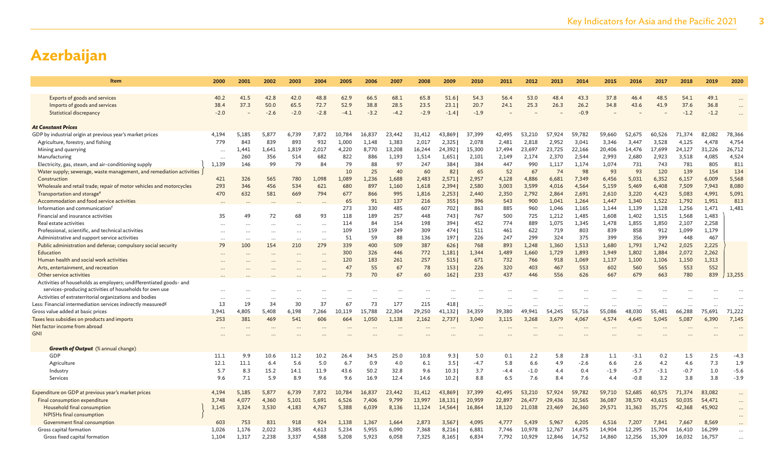| <b>Item</b>                                                                   | 2000      | 2001     | 2002      | 2003      | 2004     | 2005   | 2006   | 2007   | 2008   | 2009   | 2010     | 2011   | 2012   | 2013   | 2014   | 2015   | 2016   | 2017   | 2018   | 2019   | 2020      |
|-------------------------------------------------------------------------------|-----------|----------|-----------|-----------|----------|--------|--------|--------|--------|--------|----------|--------|--------|--------|--------|--------|--------|--------|--------|--------|-----------|
|                                                                               |           |          |           |           |          |        |        |        |        |        |          |        |        |        |        |        |        |        |        |        |           |
| Exports of goods and services                                                 | 40.2      | 41.5     | 42.8      | 42.0      | 48.8     | 62.9   | 66.5   | 68.1   | 65.8   | 51.6   | 54.3     | 56.4   | 53.0   | 48.4   | 43.3   | 37.8   | 46.4   | 48.5   | 54.1   | 49.1   |           |
| Imports of goods and services                                                 | 38.4      | 37.3     | 50.0      | 65.5      | 72.7     | 52.9   | 38.8   | 28.5   | 23.5   | 23.1   | 20.7     | 24.1   | 25.3   | 26.3   | 26.2   | 34.8   | 43.6   | 41.9   | 37.6   | 36.8   | $\cdots$  |
| Statistical discrepancy                                                       | $-2.0$    |          | $-2.6$    | $-2.0$    | $-2.8$   | $-4.1$ | $-3.2$ | $-4.2$ | $-2.9$ | $-1.4$ | $-1.9$   |        |        |        | $-0.9$ |        |        |        | $-1.2$ | $-1.2$ | $\ddotsc$ |
| <b>At Constant Prices</b>                                                     |           |          |           |           |          |        |        |        |        |        |          |        |        |        |        |        |        |        |        |        |           |
| GDP by industrial origin at previous year's market prices                     | 4,194     | 5,185    | 5,877     | 6,739     | 7,872    | 10,784 | 16,837 | 23,442 | 31,412 | 43,869 | 37,399   | 42,495 | 53,210 | 57,924 | 59,782 | 59,660 | 52,675 | 60,526 | 71,374 | 82,082 | 78,366    |
| Agriculture, forestry, and fishing                                            | 779       | 843      | 839       | 893       | 932      | 1,000  | 1,148  | 1,383  | 2,017  | 2,325  | 2,078    | 2,481  | 2,818  | 2,952  | 3,041  | 3,346  | 3,447  | 3,528  | 4,125  | 4,478  | 4,754     |
| Mining and quarrying                                                          |           | 1.441    | 1.641     | 1.819     | 2.017    | 4,220  | 8,770  | 13,208 | 16,244 | 24,392 | 15,300   | 17.494 | 23,697 | 23.725 | 22,166 | 20,406 | 14,476 | 17.699 | 24,127 | 31.226 | 26,712    |
| Manufacturing                                                                 | $\cdots$  | 260      | 356       | 514       | 682      | 822    | 886    | 1,193  | 1,514  | 1,651  | 2,101    | 2,149  | 2,174  | 2,370  | 2,544  | 2,993  | 2,680  | 2,923  | 3,518  | 4,085  | 4,524     |
| Electricity, gas, steam, and air-conditioning supply                          | 1,139     | 146      | 99        | 79        | 84       | 79     | 88     | 97     | 247    | 384    | 384      | 447    | 990    | 1,117  | 1,174  | 1,074  | 731    | 743    | 781    | 805    | 811       |
| Water supply; sewerage, waste management, and remediation activities          |           |          |           |           |          | 10     | 25     | 40     | 60     | 82     | 65       | 52     | 67     | 74     | 98     | 93     | 93     | 120    | 139    | 154    | 134       |
| Construction                                                                  | 421       | 326      | 565       | 780       | 1,098    | 1,089  | 1,236  | 1,688  | 2,483  | 2,571  | 2,957    | 4,128  | 4,886  | 6,681  | 7,349  | 6,456  | 5,031  | 6,352  | 6,157  | 6,009  | 5,568     |
| Wholesale and retail trade; repair of motor vehicles and motorcycles          | 293       | 346      | 456       | 534       | 621      | 680    | 897    | 1,160  | 1,618  | 2,394  | 2,580    | 3,003  | 3,599  | 4,016  | 4,564  | 5,159  | 5,469  | 6,408  | 7,509  | 7,943  | 8,080     |
| Transportation and storage <sup>e</sup>                                       | 470       | 632      | 581       | 669       | 794      | 677    | 866    | 995    | 1,816  | 2,253  | 2,440    | 2,350  | 2,792  | 2,864  | 2,691  | 2,610  | 3,220  | 4,423  | 5,083  | 4,991  | 5,091     |
| Accommodation and food service activities                                     |           |          |           |           |          | 65     | 91     | 137    | 216    | 355    | 396      | 543    | 900    | 1,041  | 1,264  | 1,447  | 1,340  | 1,522  | 1,792  | 1,951  | 813       |
| Information and communication <sup>1</sup>                                    |           |          |           |           |          | 273    | 330    | 485    | 607    | 702    | 863      | 885    | 960    | 1,046  | 1,165  | 1,144  | 1,139  | 1,128  | 1,256  | 1,471  | 1,481     |
| Financial and insurance activities                                            | 35        | 49       | 72        | 68        | 93       | 118    | 189    | 257    | 448    | 743    | 767      | 500    | 725    | 1,212  | 1,485  | 1,608  | 1,402  | 1,515  | 1,568  | 1,483  |           |
| Real estate activities                                                        |           |          |           | $\ddotsc$ | $\cdots$ | 114    | 84     | 154    | 198    | 394    | 452      | 774    | 889    | 1,075  | 1.345  | 1,478  | 1,855  | 1,850  | 2,107  | 2,258  |           |
| Professional, scientific, and technical activities                            |           | $\cdots$ |           | $\cdots$  | .        | 109    | 159    | 249    | 309    | 474    | 511      | 461    | 622    | 719    | 803    | 839    | 858    | 912    | 1,099  | 1,179  |           |
| Administrative and support service activities                                 | $\ddotsc$ | $\cdots$ | $\ddotsc$ |           |          | 51     | 59     | 88     | 136    | 197    | 226      | 247    | 299    | 324    | 375    | 399    | 356    | 399    | 448    | 467    |           |
| Public administration and defense; compulsory social security                 | 79        | 100      | 154       | 210       | 279      | 339    | 400    | 509    | 387    | 626    | 768      | 893    | 1,248  | 1,360  | 1,513  | 1,680  | 1,793  | 1,742  | 2,025  | 2,225  |           |
| Education                                                                     |           |          |           | $\cdots$  | $\cdots$ | 300    | 326    | 446    | 772    | 1,181  | 1.344    | 1,489  | 1,660  | 1,729  | 1,893  | 1,949  | 1,802  | 1,884  | 2,072  | 2,262  |           |
| Human health and social work activities                                       |           |          |           | $\ddotsc$ | $\cdots$ | 120    | 183    | 261    | 257    | 515    | 671      | 732    | 766    | 918    | 1,069  | 1,137  | 1,100  | 1,106  | 1,150  | 1,313  |           |
| Arts, entertainment, and recreation                                           |           |          |           |           |          | 47     | 55     | 67     | 78     | 153    | 226      | 320    | 403    | 467    | 553    | 602    | 560    | 565    | 553    | 552    |           |
| Other service activities                                                      |           |          |           |           |          | 73     | 70     | 67     | 60     | 162    | 233      | 437    | 446    | 556    | 626    | 667    | 679    | 663    | 780    | 839    | 13,255    |
| Activities of households as employers; undifferentiated goods- and            |           |          |           |           |          |        |        |        |        |        |          |        |        |        |        |        |        |        |        |        |           |
| services-producing activities of households for own use                       |           |          |           |           |          |        |        |        |        |        |          |        |        |        |        |        |        |        |        |        |           |
| Activities of extraterritorial organizations and bodies                       |           |          |           |           |          |        |        |        |        |        |          |        |        |        |        |        |        |        |        |        |           |
| Less: Financial intermediation services indirectly measured <sup>g</sup>      | 13        | 19       | 34        | 30        | 37       | 67     | 73     | 177    | 215    | 418    | $\cdots$ |        |        |        |        |        |        |        |        |        |           |
| Gross value added at basic prices                                             | 3.941     | 4.805    | 5.408     | 6.198     | 7.266    | 10.119 | 15.788 | 22,304 | 29,250 | 41,132 | 34.359   | 39,380 | 49.941 | 54,245 | 55.716 | 55,086 | 48.030 | 55,481 | 66,288 | 75,691 | 71,222    |
| Taxes less subsidies on products and imports<br>Net factor income from abroad | 253       | 381      | 469       | 541       | 606      | 664    | 1,050  | 1,138  | 2,162  | 2,737  | 3,040    | 3,115  | 3,268  | 3,679  | 4.067  | 4,574  | 4,645  | 5.045  | 5,087  | 6,390  | 7,145     |
| <b>GNI</b>                                                                    |           |          |           |           |          |        |        |        |        |        |          |        |        |        |        |        |        |        |        |        |           |
|                                                                               |           |          |           |           |          |        |        |        |        |        |          |        |        |        |        |        |        |        |        |        |           |
| <b>Growth of Output</b> (% annual change)                                     |           |          |           |           |          |        |        |        |        |        |          |        |        |        |        |        |        |        |        |        |           |
| GDP                                                                           | 11.1      | 9.9      | 10.6      | 11.2      | 10.2     | 26.4   | 34.5   | 25.0   | 10.8   | 9.3    | 5.0      | 0.1    | 2.2    | 5.8    | 2.8    | 1.1    | $-3.1$ | 0.2    | 1.5    | 2.5    | $-4.3$    |
| Agriculture                                                                   | 12.1      | 11.1     | 6.4       | 5.6       | 5.0      | 6.7    | 0.9    | 4.0    | 6.1    | 3.5    | $-4.7$   | 5.8    | 6.6    | 4.9    | $-2.6$ | 6.6    | 2.6    | 4.2    | 4.6    | 7.3    | 1.9       |
| Industry                                                                      | 5.7       | 8.3      | 15.2      | 14.1      | 11.9     | 43.6   | 50.2   | 32.8   | 9.6    | 10.3   | 3.7      | $-4.4$ | $-1.0$ | 4.4    | 0.4    | $-1.9$ | $-5.7$ | $-3.1$ | $-0.7$ | 1.0    | $-5.6$    |
| Services                                                                      | 9.6       | 7.1      | 5.9       | 8.9       | 9.6      | 9.6    | 16.9   | 12.4   | 14.6   | 10.2   | 8.8      | 6.5    | 7.6    | 8.4    | 7.6    | 4.4    | $-0.8$ | 3.2    | 3.8    | 3.8    | $-3.9$    |
| Expenditure on GDP at previous year's market prices                           | 4,194     | 5,185    | 5.877     | 6,739     | 7,872    | 10.784 | 16,837 | 23,442 | 31,412 | 43,869 | 37,399   | 42,495 | 53,210 | 57,924 | 59.782 | 59,710 | 52,685 | 60,575 | 71,374 | 83,082 | $\cdots$  |
| Final consumption expenditure                                                 | 3,748     | 4,077    | 4,360     | 5,101     | 5,691    | 6,526  | 7,406  | 9,799  | 13,997 | 18,131 | 20,959   | 22,897 | 26,477 | 29,436 | 32,565 | 36,087 | 38,570 | 43,615 | 50,035 | 54,471 | $\cdots$  |
| Household final consumption                                                   | 3,145     | 3,324    | 3,530     | 4,183     | 4,767    | 5,388  | 6,039  | 8,136  | 11,124 | 14,564 | 16,864   | 18,120 | 21,038 | 23,469 | 26,360 | 29,571 | 31,363 | 35,775 | 42,368 | 45,902 | $\cdots$  |
| NPISHs final consumption                                                      |           |          |           |           |          |        |        |        |        |        |          |        |        |        |        |        |        |        |        |        | $\cdots$  |
| Government final consumption                                                  | 603       | 753      | 831       | 918       | 924      | 1,138  | 1,367  | 1,664  | 2,873  | 3,567  | 4,095    | 4,777  | 5,439  | 5,967  | 6,205  | 6,516  | 7,207  | 7,841  | 7,667  | 8,569  | $\cdots$  |
| Gross capital formation                                                       | 1,026     | 1,176    | 2,022     | 3,385     | 4,613    | 5,234  | 5,955  | 6,090  | 7,368  | 8,216  | 6,881    | 7,746  | 10,978 | 12,767 | 14,675 | 14,904 | 12,295 | 15,704 | 16,410 | 16,299 | $\ddotsc$ |
| Gross fixed capital formation                                                 | 1,104     | 1,317    | 2,238     | 3,337     | 4,588    | 5,208  | 5,923  | 6,058  | 7,325  | 8,165  | 6,834    | 7,792  | 10,929 | 12,846 | 14,752 | 14,860 | 12,256 | 15,309 | 16,032 | 16,757 | $\ddotsc$ |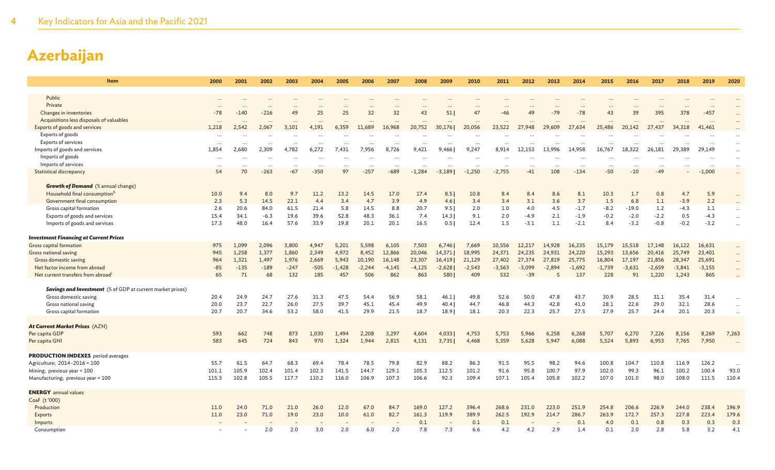| Item                                                              | 2000                 | 2001      | 2002     | 2003      | 2004      | 2005     | 2006      | 2007     | 2008     | 2009     | 2010     | 2011     | 2012                     | 2013      | 2014      | 2015      | 2016      | 2017      | 2018     | 2019      | 2020     |
|-------------------------------------------------------------------|----------------------|-----------|----------|-----------|-----------|----------|-----------|----------|----------|----------|----------|----------|--------------------------|-----------|-----------|-----------|-----------|-----------|----------|-----------|----------|
| Public                                                            |                      |           |          |           |           |          |           |          |          |          |          |          |                          |           |           |           |           |           |          |           |          |
| Private                                                           | $\cdots$<br>$\cdots$ | $\cdots$  |          |           | $\cdot$ . |          |           |          |          | $\cdots$ |          |          | $\ddotsc$                |           |           | $\ddotsc$ | $\ddotsc$ | $\cdots$  |          |           | $\cdots$ |
| Changes in inventories                                            | $-78$                | $-140$    | $-216$   | 49        | 25        | 25       | 32        | 32       | 43       | 51       | 47       | $-46$    | 49                       | $-79$     | $-78$     | 43        | 39        | 395       | 378      | $-457$    | $\cdots$ |
| Acquisitions less disposals of valuables                          | $\cdots$             | $\ddotsc$ |          |           | $\ddotsc$ |          |           | $\cdots$ | $\cdots$ | $\cdots$ |          |          | $\cdots$                 |           |           |           | $\cdots$  | $\cdots$  | $\cdots$ | $\ddots$  | $\ddots$ |
| Exports of goods and services                                     | 1,218                | 2,542     | 2,067    | 3,101     | 4,191     | 6,359    | 11,689    | 16,968   | 20,752   | 30,176   | 20,056   | 23,522   | 27,948                   | 29,609    | 27,634    | 25,486    | 20,142    | 27,437    | 34,318   | 41,461    |          |
| Exports of goods                                                  | $\cdots$             | $\ddotsc$ |          |           | $\ddotsc$ |          |           |          |          |          |          |          |                          |           |           | $\ddotsc$ |           |           |          |           | $\cdots$ |
| <b>Exports of services</b>                                        | $\cdots$             | $\cdots$  | $\cdots$ | $\cdots$  |           | $\cdots$ | $\cdots$  | $\cdots$ | $\cdots$ | $\cdots$ | $\cdots$ |          |                          | $\ddotsc$ | $\cdots$  |           | $\cdots$  | $\ddotsc$ |          | $\ddotsc$ | $\ddots$ |
| Imports of goods and services                                     | 1.854                | 2.680     | 2,309    | 4,782     | 6,272     | 7.431    | 7,956     | 8,726    | 9.421    | 9,466    | 9,247    | 8,914    | 12.153                   | 13.996    | 14.958    | 16,767    | 18,322    | 26,181    | 29,389   | 29.149    | $\ddots$ |
| Imports of goods                                                  | $\cdots$             | $\cdots$  | $\cdots$ | $\ddotsc$ | $\ddotsc$ | $\cdots$ | $\ddotsc$ | $\cdots$ | $\cdots$ | $\cdots$ | $\cdots$ |          | $\overline{\phantom{a}}$ | $\ddotsc$ | $\ddotsc$ | $\ddotsc$ | $\cdots$  | $\ddotsc$ |          | $\ddotsc$ | $\ddots$ |
| Imports of services                                               |                      |           |          |           | $\ddotsc$ | $\cdots$ |           |          |          |          |          |          |                          |           | $\ddots$  | $\cdots$  | $\cdots$  | $\cdots$  |          |           | $\cdots$ |
| <b>Statistical discrepancy</b>                                    | 54                   | 70        | $-263$   | $-67$     | $-350$    | 97       | $-257$    | $-689$   | $-1,284$ | $-3,189$ | $-1,250$ | $-2,755$ | $-41$                    | 108       | $-134$    | $-50$     | $-10$     | $-49$     |          | $-1,000$  | $\ddots$ |
| <b>Growth of Demand</b> (% annual change)                         |                      |           |          |           |           |          |           |          |          |          |          |          |                          |           |           |           |           |           |          |           |          |
| Household final consumptionh                                      | 10.0                 | 9.4       | 8.0      | 9.7       | 11.2      | 13.2     | 14.5      | 17.0     | 17.4     | 8.5      | 10.8     | 8.4      | 8.4                      | 8.6       | 8.1       | 10.3      | 1.7       | 0.8       | 4.7      | 5.9       |          |
| Government final consumption                                      | 2.3                  | 5.3       | 14.5     | 22.1      | 4.4       | 3.4      | 4.7       | 3.9      | 4.9      | 4.6      | 3.4      | 3.4      | 3.1                      | 3.6       | 3.7       | 1.5       | 6.8       | 1.1       | $-3.9$   | 2.2       |          |
| Gross capital formation                                           | 2.6                  | 20.6      | 84.0     | 61.5      | 21.4      | 5.8      | 14.5      | 8.8      | 20.7     | 9.5      | 2.0      | 1.0      | 4.0                      | 4.5       | $-1.7$    | $-8.2$    | $-19.0$   | 1.2       | $-4.3$   | 1.1       | $\ddots$ |
| Exports of goods and services                                     | 15.4                 | 34.1      | $-6.3$   | 19.6      | 39.6      | 52.8     | 48.3      | 36.1     | 7.4      | 14.3     | 9.1      | 2.0      | $-4.9$                   | 2.1       | $-1.9$    | $-0.2$    | $-2.0$    | $-2.2$    | 0.5      | $-4.3$    | $\ddots$ |
| Imports of goods and services                                     | 17.3                 | 48.0      | 16.4     | 57.6      | 33.9      | 19.8     | 20.1      | 20.1     | 16.5     | 0.51     | 12.4     | 1.5      | $-3.1$                   | 1.1       | $-2.1$    | 8.4       | $-3.2$    | $-0.8$    | $-0.2$   | $-3.2$    |          |
| <b>Investment Financing at Current Prices</b>                     |                      |           |          |           |           |          |           |          |          |          |          |          |                          |           |           |           |           |           |          |           |          |
| Gross capital formation                                           | 975                  | 1,099     | 2,096    | 3,800     | 4,947     | 5,201    | 5,598     | 6,105    | 7,503    | 6,746    | 7,669    | 10,556   | 12,217                   | 14,928    | 16,235    | 15,179    | 15,518    | 17,148    | 16,122   | 16,631    |          |
| Gross national saving                                             | 945                  | 1,258     | 1,377    | 1,860     | 2,349     | 4,972    | 8,452     | 12,866   | 20,046   | 14,371   | 18,995   | 24,371   | 24,235                   | 24,931    | 24,220    | 15,293    | 13,656    | 20,416    | 25,749   | 23,401    |          |
| Gross domestic saving                                             | 964                  | 1,321     | 1,497    | 1,976     | 2,669     | 5,943    | 10,190    | 16,148   | 23,307   | 16,419   | 21,129   | 27,402   | 27,374                   | 27,819    | 25,775    | 16,804    | 17,197    | 21,856    | 28,347   | 25,691    | $\ddots$ |
| Net factor income from abroad                                     | $-85$                | $-135$    | $-189$   | $-247$    | $-505$    | $-1,428$ | $-2,244$  | $-4,145$ | $-4,125$ | $-2,628$ | $-2,543$ | $-3,563$ | $-3,099$                 | $-2,894$  | $-1,692$  | $-1,739$  | $-3,631$  | $-2,659$  | $-3,841$ | $-3,155$  | $\ddots$ |
| Net current transfers from abroad <sup>i</sup>                    | 65                   | 71        | 68       | 132       | 185       | 457      | 506       | 862      | 863      | 580      | 409      | 532      | $-39$                    | 5         | 137       | 228       | 91        | 1,220     | 1,243    | 865       |          |
| <b>Savings and Investment</b> (% of GDP at current market prices) |                      |           |          |           |           |          |           |          |          |          |          |          |                          |           |           |           |           |           |          |           |          |
| Gross domestic saving                                             | 20.4                 | 24.9      | 24.7     | 27.6      | 31.3      | 47.5     | 54.4      | 56.9     | 58.1     | 46.1     | 49.8     | 52.6     | 50.0                     | 47.8      | 43.7      | 30.9      | 28.5      | 31.1      | 35.4     | 31.4      |          |
| Gross national saving                                             | 20.0                 | 23.7      | 22.7     | 26.0      | 27.5      | 39.7     | 45.1      | 45.4     | 49.9     | 40.4     | 44.7     | 46.8     | 44.3                     | 42.8      | 41.0      | 28.1      | 22.6      | 29.0      | 32.1     | 28.6      | $\ddots$ |
| Gross capital formation                                           | 20.7                 | 20.7      | 34.6     | 53.2      | 58.0      | 41.5     | 29.9      | 21.5     | 18.7     | 18.9     | 18.1     | 20.3     | 22.3                     | 25.7      | 27.5      | 27.9      | 25.7      | 24.4      | 20.1     | 20.3      | $\cdots$ |
|                                                                   |                      |           |          |           |           |          |           |          |          |          |          |          |                          |           |           |           |           |           |          |           |          |
| At Current Market Prices (AZN)                                    |                      |           |          |           |           |          |           |          |          |          |          |          |                          |           |           |           |           |           |          |           |          |
| Per capita GDP                                                    | 593                  | 662       | 748      | 873       | 1,030     | 1.494    | 2,208     | 3,297    | 4,604    | 4,033    | 4,753    | 5,753    | 5,966                    | 6,258     | 6,268     | 5,707     | 6,270     | 7,226     | 8,156    | 8,269     | 7,263    |
| Per capita GNI                                                    | 583                  | 645       | 724      | 843       | 970       | 1,324    | 1,944     | 2,815    | 4,131    | 3,735    | 4,468    | 5,359    | 5,628                    | 5,947     | 6,088     | 5,524     | 5,893     | 6,953     | 7,765    | 7,950     |          |
|                                                                   |                      |           |          |           |           |          |           |          |          |          |          |          |                          |           |           |           |           |           |          |           |          |
| <b>PRODUCTION INDEXES</b> period averages                         |                      |           |          |           |           |          |           |          |          |          |          |          |                          |           |           |           |           |           |          |           |          |
| Agriculture; 2014-2016 = 100                                      | 55.7                 | 61.5      | 64.7     | 68.3      | 69.4      | 78.4     | 78.5      | 79.8     | 82.9     | 88.2     | 86.3     | 91.5     | 95.5                     | 98.2      | 94.6      | 100.8     | 104.7     | 110.8     | 116.9    | 126.2     | $\cdots$ |
| Mining; previous year = 100                                       | 101.1                | 105.9     | 102.4    | 101.4     | 102.3     | 141.5    | 144.7     | 129.1    | 105.3    | 112.5    | 101.2    | 91.6     | 95.8                     | 100.7     | 97.9      | 102.0     | 99.3      | 96.1      | 100.2    | 100.4     | 93.0     |
| Manufacturing; previous year = 100                                | 115.3                | 102.8     | 105.5    | 117.7     | 110.2     | 116.0    | 106.9     | 107.3    | 106.6    | 92.3     | 109.4    | 107.1    | 105.4                    | 105.8     | 102.2     | 107.0     | 101.0     | 98.0      | 108.0    | 111.5     | 110.4    |
| <b>ENERGY</b> annual values                                       |                      |           |          |           |           |          |           |          |          |          |          |          |                          |           |           |           |           |           |          |           |          |
| Coal <sup>j</sup> (t'000)                                         |                      |           |          |           |           |          |           |          |          |          |          |          |                          |           |           |           |           |           |          |           |          |
| Production                                                        | 11.0                 | 24.0      | 71.0     | 21.0      | 26.0      | 12.0     | 67.0      | 84.7     | 169.0    | 127.2    | 396.4    | 268.6    | 231.0                    | 223.0     | 251.9     | 254.8     | 206.6     | 226.9     | 244.0    | 238.4     | 196.9    |
| <b>Exports</b>                                                    | 11.0                 | 23.0      | 71.0     | 19.0      | 23.0      | 10.0     | 61.0      | 82.7     | 161.3    | 119.9    | 389.9    | 262.5    | 192.9                    | 214.7     | 286.7     | 263.9     | 172.7     | 257.3     | 227.8    | 223.4     | 179.6    |
| Imports                                                           |                      |           |          |           |           |          |           |          | 0.1      |          | 0.1      | 0.1      |                          |           | 0.1       | 4.0       | 0.1       | 0.8       | 0.3      | 0.3       | 0.3      |
| Consumption                                                       |                      |           | 2.0      | 2.0       | 3.0       | 2.0      | 6.0       | 2.0      | 7.8      | 7.3      | 6.6      | 4.2      | 4.2                      | 2.9       | 1.4       | 0.1       | 2.0       | 2.8       | 5.8      | 3.2       | 4.1      |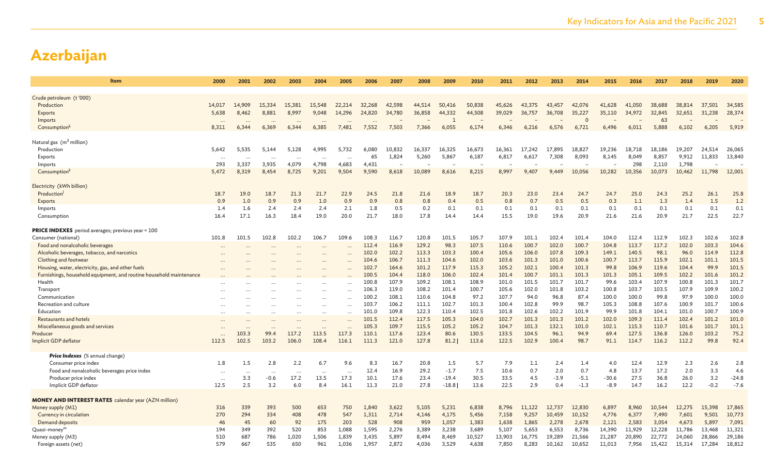| <b>Item</b>                                                         | 2000       | 2001      | 2002      | 2003      | 2004      | 2005      | 2006   | 2007   | 2008   | 2009         | 2010   | 2011           | 2012            | 2013   | 2014     | 2015    | 2016           | 2017           | 2018   | 2019            | 2020             |
|---------------------------------------------------------------------|------------|-----------|-----------|-----------|-----------|-----------|--------|--------|--------|--------------|--------|----------------|-----------------|--------|----------|---------|----------------|----------------|--------|-----------------|------------------|
|                                                                     |            |           |           |           |           |           |        |        |        |              |        |                |                 |        |          |         |                |                |        |                 |                  |
| Crude petroleum (t'000)                                             |            |           |           |           |           |           |        |        |        |              |        |                |                 |        |          |         |                |                |        |                 |                  |
| Production                                                          | 14.017     | 14,909    | 15.334    | 15,381    | 15,548    | 22,214    | 32,268 | 42,598 | 44,514 | 50,416       | 50,838 | 45,626         | 43,375          | 43,457 | 42,076   | 41,628  | 41,050         | 38,688         | 38,814 | 37,501          | 34,585           |
| <b>Exports</b>                                                      | 5,638      | 8,462     | 8,881     | 8,997     | 9,048     | 14,296    | 24,820 | 34,780 | 36,858 | 44,332       | 44,508 | 39,029         | 36,757          | 36,708 | 35,227   | 35,110  | 34,972         | 32,845         | 32,651 | 31,238          | 28,374           |
| Imports                                                             |            | $\cdots$  | $\ddots$  |           | $\ddots$  |           |        |        |        | $\mathbf{1}$ |        |                |                 |        | $\Omega$ |         |                | 63             |        |                 |                  |
| Consumption <sup>k</sup>                                            | 8,311      | 6,344     | 6,369     | 6,344     | 6,385     | 7,481     | 7,552  | 7,503  | 7,366  | 6,055        | 6,174  | 6,346          | 6,216           | 6,576  | 6,721    | 6,496   | 6,011          | 5,888          | 6,102  | 6,205           | 5,919            |
| Natural gas (m <sup>3</sup> million)                                |            |           |           |           |           |           |        |        |        |              |        |                |                 |        |          |         |                |                |        |                 |                  |
| Production                                                          | 5,642      | 5,535     | 5,144     | 5,128     | 4,995     | 5,732     | 6,080  | 10,832 | 16,337 | 16,325       | 16,673 | 16,361         | 17,242          | 17,895 | 18,827   | 19,236  | 18,718         | 18,186         | 19,207 | 24,514          | 26,065           |
| Exports                                                             | $\ddots$   | $\cdot$ . |           |           |           |           | 65     | 1,824  | 5,260  | 5,867        | 6,187  | 6,817          | 6,617           | 7,308  | 8,093    | 8,145   | 8,049          | 8,857          | 9,912  | 11,833          | 13,840           |
| Imports                                                             | 293        | 3,337     | 3,935     | 4,079     | 4,798     | 4,683     | 4,431  |        |        |              |        |                |                 |        |          |         | 298            | 2,110          | 1,798  |                 |                  |
| Consumption                                                         | 5,472      | 8,319     | 8.454     | 8,725     | 9.201     | 9.504     | 9,590  | 8,618  | 10,089 | 8,616        | 8,215  | 8,997          | 9.407           | 9.449  | 10,056   | 10,282  | 10,356         | 10,073         | 10,462 | 11,798          | 12,001           |
|                                                                     |            |           |           |           |           |           |        |        |        |              |        |                |                 |        |          |         |                |                |        |                 |                  |
| Electricity (kWh billion)                                           |            |           |           |           |           |           |        |        |        |              |        |                |                 |        |          |         |                |                |        |                 |                  |
| Production                                                          | 18.7       | 19.0      | 18.7      | 21.3      | 21.7      | 22.9      | 24.5   | 21.8   | 21.6   | 18.9         | 18.7   | 20.3           | 23.0            | 23.4   | 24.7     | 24.7    | 25.0           | 24.3           | 25.2   | 26.1            | 25.8             |
| Exports                                                             | 0.9        | 1.0       | 0.9       | 0.9       | 1.0       | 0.9       | 0.9    | 0.8    | 0.8    | 0.4          | 0.5    | 0.8            | 0.7             | 0.5    | 0.5      | 0.3     | 1.1            | 1.3            | 1.4    | 1.5             | 1.2              |
| Imports                                                             | 1.4        | 1.6       | 2.4       | 2.4       | 2.4       | 2.1       | 1.8    | 0.5    | 0.2    | 0.1          | 0.1    | 0.1            | 0.1             | 0.1    | 0.1      | 0.1     | 0.1            | 0.1            | 0.1    | 0.1             | 0.1              |
| Consumption                                                         | 16.4       | 17.1      | 16.3      | 18.4      | 19.0      | 20.0      | 21.7   | 18.0   | 17.8   | 14.4         | 14.4   | 15.5           | 19.0            | 19.6   | 20.9     | 21.6    | 21.6           | 20.9           | 21.7   | 22.5            | 22.7             |
| <b>PRICE INDEXES</b> period averages; previous year = 100           |            |           |           |           |           |           |        |        |        |              |        |                |                 |        |          |         |                |                |        |                 |                  |
| Consumer (national)                                                 | 101.8      | 101.5     | 102.8     | 102.2     | 106.7     | 109.6     | 108.3  | 116.7  | 120.8  | 101.5        | 105.7  | 107.9          | 101.1           | 102.4  | 101.4    | 104.0   | 112.4          | 112.9          | 102.3  | 102.6           | 102.8            |
| Food and nonalcoholic beverages                                     |            |           |           |           |           |           | 112.4  | 116.9  | 129.2  | 98.3         | 107.5  | 110.6          | 100.7           | 102.0  | 100.7    | 104.8   | 113.7          | 117.2          | 102.0  | 103.3           | 104.6            |
| Alcoholic beverages, tobacco, and narcotics                         |            |           |           | $\cdots$  | $\ddotsc$ |           | 102.0  | 102.2  | 113.3  | 103.3        | 100.4  | 105.6          | 106.0           | 107.8  | 109.3    | 149.1   | 140.5          | 98.1           | 96.0   | 114.9           | 112.8            |
| Clothing and footwear                                               |            |           |           |           | $\sim$    |           | 104.6  | 106.7  | 111.3  | 104.6        | 102.0  | 103.6          | 101.3           | 101.0  | 100.6    | 100.7   | 113.7          | 115.9          | 102.1  | 101.1           | 101.5            |
| Housing, water, electricity, gas, and other fuels                   |            |           |           |           | $\sim$    | $\ddotsc$ | 102.7  | 164.6  | 101.2  | 117.9        | 115.3  | 105.2          | 102.1           | 100.4  | 101.3    | 99.8    | 106.9          | 119.6          | 104.4  | 99.9            | 101.5            |
| Furnishings, household equipment, and routine household maintenance |            |           |           |           |           |           | 100.5  | 104.4  | 118.0  | 106.0        | 102.4  | 101.4          | 100.7           | 101.1  | 101.3    | 101.3   | 105.1          | 109.5          | 102.2  | 101.6           | 101.2            |
| Health                                                              |            |           |           |           |           | $\cdots$  | 100.8  | 107.9  | 109.2  | 108.1        | 108.9  | 101.0          | 101.5           | 101.7  | 101.7    | 99.6    | 103.4          | 107.9          | 100.8  | 101.3           | 101.7            |
| Transport                                                           |            |           |           | $\cdots$  | $\ddots$  | $\cdots$  | 106.3  | 119.0  | 108.2  | 101.4        | 100.7  | 105.6          | 102.0           | 101.8  | 103.2    | 100.8   | 103.7          | 103.5          | 107.9  | 109.9           | 100.2            |
| Communication                                                       | $\ddotsc$  |           |           | $\cdots$  | $\cdots$  | $\cdots$  | 100.2  | 108.1  | 110.6  | 104.8        | 97.2   | 107.7          | 94.0            | 96.8   | 87.4     | 100.0   | 100.0          | 99.8           | 97.9   | 100.0           | 100.0            |
| Recreation and culture                                              | $\ddotsc$  | $\ddotsc$ |           | $\cdots$  |           | $\ddotsc$ | 103.7  | 106.2  | 111.1  | 102.7        | 101.3  | 100.4          | 102.8           | 99.9   | 98.7     | 105.3   | 108.8          | 107.6          | 100.9  | 101.7           | 100.6            |
| Education                                                           |            |           |           |           | $\ddots$  | $\cdots$  | 101.0  | 109.8  | 122.3  | 110.4        | 102.5  | 101.8          | 102.6           | 102.2  | 101.9    | 99.9    | 101.8          | 104.1          | 101.0  | 100.7           | 100.9            |
| Restaurants and hotels                                              |            | $\ddotsc$ | $\ddotsc$ |           | $\cdots$  | $\cdots$  | 101.5  | 112.4  | 117.5  | 105.3        | 104.0  | 102.7          | 101.3           | 101.3  | 101.2    | 102.0   | 109.3          | 111.4          | 102.4  | 101.2           | 101.0            |
| Miscellaneous goods and services                                    | $\ddotsc$  | $\sim$    | $\cdots$  | $\ddotsc$ | $\cdots$  | $\ddotsc$ | 105.3  | 109.7  | 115.5  | 105.2        | 105.2  | 104.7          | 101.3           | 132.1  | 101.0    | 102.1   | 115.3          | 110.7          | 101.6  | 101.7           | 101.1            |
| Producer                                                            | $\ddotsc$  | 103.3     | 99.4      | 117.2     | 113.5     | 117.3     | 110.1  | 117.6  | 123.4  | 80.6         | 130.5  | 133.5          | 104.5           | 96.1   | 94.9     | 69.4    | 127.5          | 136.8          | 126.0  | 103.2           | 75.2             |
| Implicit GDP deflator                                               | 112.5      | 102.5     | 103.2     | 106.0     | 108.4     | 116.1     | 111.3  | 121.0  | 127.8  | 81.2         | 113.6  | 122.5          | 102.9           | 100.4  | 98.7     | 91.1    | 114.7          | 116.2          | 112.2  | 99.8            | 92.4             |
| <b>Price Indexes</b> (% annual change)                              |            |           |           |           |           |           |        |        |        |              |        |                |                 |        |          |         |                |                |        |                 |                  |
| Consumer price index                                                | 1.8        | 1.5       | 2.8       | 2.2       | 6.7       | 9.6       | 8.3    | 16.7   | 20.8   | 1.5          | 5.7    | 7.9            | 1.1             | 2.4    | 1.4      | 4.0     | 12.4           | 12.9           | 2.3    | 2.6             | 2.8              |
| Food and nonalcoholic beverages price index                         |            | $\cdots$  | $\cdots$  |           | $\cdots$  |           | 12.4   | 16.9   | 29.2   | $-1.7$       | 7.5    | 10.6           | 0.7             | 2.0    | 0.7      | 4.8     | 13.7           | 17.2           | 2.0    | 3.3             | 4.6              |
| Producer price index                                                | $\ddots$   | 3.3       | $-0.6$    | 17.2      | 13.5      | 17.3      | 10.1   | 17.6   | 23.4   | $-19.4$      | 30.5   | 33.5           | 4.5             | $-3.9$ | $-5.1$   | $-30.6$ | 27.5           | 36.8           | 26.0   | 3.2             | $-24.8$          |
| Implicit GDP deflator                                               | 12.5       | 2.5       | 3.2       | 6.0       | 8.4       | 16.1      | 11.3   | 21.0   | 27.8   | $-18.8$      | 13.6   | 22.5           | 2.9             | 0.4    | $-1.3$   | $-8.9$  | 14.7           | 16.2           | 12.2   | $-0.2$          | $-7.6$           |
|                                                                     |            |           |           |           |           |           |        |        |        |              |        |                |                 |        |          |         |                |                |        |                 |                  |
| <b>MONEY AND INTEREST RATES</b> calendar year (AZN million)         |            | 339       | 393       | 500       | 653       | 750       | 1,840  | 3,622  | 5,105  | 5,231        | 6,838  |                |                 | 12,737 | 12,830   | 6,897   |                | 10,544         | 12,275 |                 |                  |
| Money supply (M1)<br>Currency in circulation                        | 316<br>270 | 294       | 334       | 408       | 478       | 547       | 1,311  | 2,714  | 4,146  | 4,175        | 5,456  | 8,796<br>7,158 | 11,122<br>9,257 | 10,459 | 10,152   | 4,776   | 8,960          |                | 7,601  | 15,398<br>9,501 | 17,865<br>10,773 |
| Demand deposits                                                     | 46         | 45        | 60        | 92        | 175       | 203       | 528    | 908    | 959    | 1,057        | 1,383  | 1,638          | 1,865           | 2,278  | 2,678    | 2,121   | 6,377<br>2,583 | 7,490<br>3,054 | 4,673  | 5.897           | 7,091            |
| Quasi-money <sup>m</sup>                                            | 194        | 349       | 392       | 520       | 853       | 1,088     | 1,595  | 2,276  | 3,389  | 3.238        | 3,689  | 5,107          | 5,653           | 6,553  | 8,736    | 14,390  | 11,929         | 12,228         | 11,786 | 13,468          | 11,321           |
| Money supply (M3)                                                   | 510        | 687       | 786       | 1,020     | 1,506     | 1,839     | 3,435  | 5,897  | 8,494  | 8,469        | 10,527 | 13,903         | 16,775          | 19,289 | 21,566   | 21,287  | 20,890         | 22,772         | 24,060 | 28,866          | 29,186           |
| Foreign assets (net)                                                | 579        | 667       | 535       | 650       | 961       | 1,036     | 1,957  | 2,872  | 4,036  | 3,529        | 4,638  | 7,850          | 8,283           | 10,162 | 10,652   | 11,013  | 7,956          | 15,422         | 15,314 | 17,284          | 18,812           |
|                                                                     |            |           |           |           |           |           |        |        |        |              |        |                |                 |        |          |         |                |                |        |                 |                  |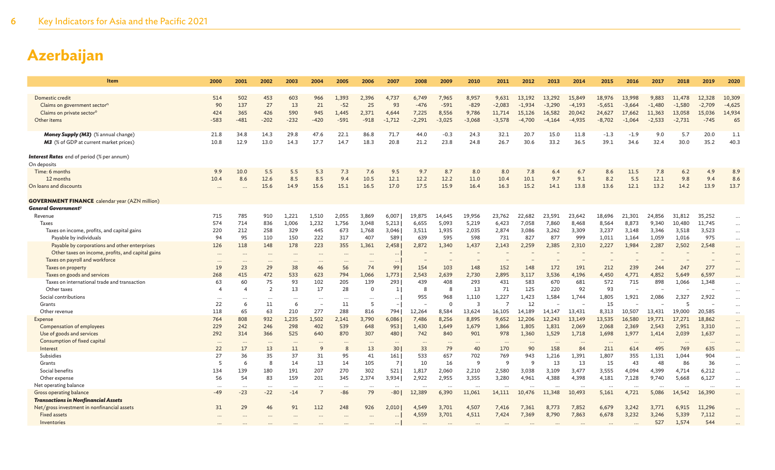| Item                                                  | 2000                   | 2001           | 2002           | 2003     | 2004                     | 2005     | 2006     | 2007            | 2008     | 2009     | 2010           | 2011         | 2012         | 2013     | 2014     | 2015     | 2016     | 2017     | 2018     | 2019     | 2020     |
|-------------------------------------------------------|------------------------|----------------|----------------|----------|--------------------------|----------|----------|-----------------|----------|----------|----------------|--------------|--------------|----------|----------|----------|----------|----------|----------|----------|----------|
|                                                       |                        |                |                |          |                          |          |          |                 |          |          |                |              |              |          |          |          |          |          |          |          |          |
| Domestic credit                                       | 514                    | 502            | 453            | 603      | 966                      | 1,393    | 2,396    | 4,737           | 6,749    | 7,965    | 8,957          | 9,631        | 13,192       | 13.292   | 15,849   | 18,976   | 13,998   | 9,883    | 11,478   | 12,328   | 10,309   |
| Claims on government sector <sup>n</sup>              | 90                     | 137            | 27             | 13       | 21                       | $-52$    | 25       | 93              | $-476$   | $-591$   | $-829$         | $-2,083$     | $-1,934$     | $-3,290$ | $-4,193$ | $-5,651$ | $-3,664$ | $-1,480$ | $-1,580$ | $-2,709$ | $-4,625$ |
| Claims on private sector <sup>o</sup>                 | 424                    | 365            | 426            | 590      | 945                      | 1.445    | 2,371    | 4,644           | 7,225    | 8,556    | 9,786          | 11,714       | 15,126       | 16,582   | 20,042   | 24,627   | 17,662   | 11,363   | 13,058   | 15,036   | 14,934   |
| Other items                                           | $-583$                 | $-481$         | $-202$         | $-232$   | $-420$                   | $-591$   | $-918$   | $-1,712$        | $-2,291$ | $-3,025$ | $-3,068$       | $-3,578$     | $-4,700$     | $-4,164$ | $-4,935$ | $-8,702$ | $-1,064$ | $-2,533$ | $-2,731$ | $-745$   | 65       |
| <b>Money Supply (M3)</b> (% annual change)            | 21.8                   | 34.8           | 14.3           | 29.8     | 47.6                     | 22.1     | 86.8     | 71.7            | 44.0     | $-0.3$   | 24.3           | 32.1         | 20.7         | 15.0     | 11.8     | $-1.3$   | $-1.9$   | 9.0      | 5.7      | 20.0     | 1.1      |
| M3 (% of GDP at current market prices)                | 10.8                   | 12.9           | 13.0           | 14.3     | 17.7                     | 14.7     | 18.3     | 20.8            | 21.2     | 23.8     | 24.8           | 26.7         | 30.6         | 33.2     | 36.5     | 39.1     | 34.6     | 32.4     | 30.0     | 35.2     | 40.3     |
| <b>Interest Rates</b> end of period (% per annum)     |                        |                |                |          |                          |          |          |                 |          |          |                |              |              |          |          |          |          |          |          |          |          |
| On deposits                                           |                        |                |                |          |                          |          |          |                 |          |          |                |              |              |          |          |          |          |          |          |          |          |
| Time: 6 months                                        | 9.9                    | 10.0           | 5.5            | 5.5      | 5.3                      | 7.3      | 7.6      | 9.5             | 9.7      | 8.7      | 8.0            | 8.0          | 7.8          | 6.4      | 6.7      | 8.6      | 11.5     | 7.8      | 6.2      | 4.9      | 8.9      |
| 12 months                                             | 10.4                   | 8.6            | 12.6           | 8.5      | 8.5                      | 9.4      | 10.5     | 12.1            | 12.2     | 12.2     | 11.0           | 10.4         | 10.1         | 9.7      | 9.1      | 8.2      | 5.5      | 12.1     | 9.8      | 9.4      | 8.6      |
| On loans and discounts                                |                        | $\ddots$       | 15.6           | 14.9     | 15.6                     | 15.1     | 16.5     | 17.0            | 17.5     | 15.9     | 16.4           | 16.3         | 15.2         | 14.1     | 13.8     | 13.6     | 12.1     | 13.2     | 14.2     | 13.9     | 13.7     |
| <b>GOVERNMENT FINANCE</b> calendar year (AZN million) |                        |                |                |          |                          |          |          |                 |          |          |                |              |              |          |          |          |          |          |          |          |          |
| General Government <sup>p</sup>                       |                        |                |                |          |                          |          |          |                 |          |          |                |              |              |          |          |          |          |          |          |          |          |
| Revenue                                               | 715                    | 785            | 910            | 1,221    | 1,510                    | 2,055    | 3,869    | 6,007           | 19,875   | 14,645   | 19,956         | 23,762       | 22,682       | 23,591   | 23,642   | 18,696   | 21,301   | 24,856   | 31,812   | 35,252   |          |
| <b>Taxes</b>                                          | 574                    | 714            | 836            | 1,006    | 1,232                    | 1,756    | 3,048    | 5,213           | 6,655    | 5,093    | 5,219          | 6,423        | 7,058        | 7,860    | 8,468    | 8,564    | 8,873    | 9,340    | 10,480   | 11,745   | $\cdots$ |
| Taxes on income, profits, and capital gains           | 220                    | 212            | 258            | 329      | 445                      | 673      | 1,768    | 3,046           | 3,511    | 1,935    | 2,035          | 2,874        | 3,086        | 3,262    | 3,309    | 3,237    | 3,148    | 3,346    | 3,518    | 3,523    | $\cdots$ |
| Payable by individuals                                | 94                     | 95             | 110            | 150      | 222                      | 317      | 407      | 589             | 639      | 595      | 598            | 731          | 827          | 877      | 999      | 1,011    | 1,164    | 1,059    | 1,016    | 975      | $\ldots$ |
| Payable by corporations and other enterprises         | 126                    | 118            | 148            | 178      | 223                      | 355      | 1,361    | 2,458           | 2,872    | 1.340    | 1,437          | 2,143        | 2,259        | 2,385    | 2,310    | 2,227    | 1,984    | 2,287    | 2,502    | 2,548    | $\cdots$ |
| Other taxes on income, profits, and capital gains     | $\cdots$               | $\ddots$       | $\cdots$       |          | $\cdots$                 | $\cdots$ |          | $\cdots$        |          |          |                |              |              |          |          |          |          |          |          |          | $\cdots$ |
| Taxes on payroll and workforce                        |                        |                |                |          |                          |          |          | $\cdots$        |          |          |                |              |              |          |          |          |          |          |          |          |          |
| Taxes on property                                     | 19                     | 23             | 29             | 38       | 46                       | 56       | 74       | 99              | 154      | 103      | 148            | 152          | 148          | 172      | 191      | 212      | 239      | 244      | 247      | 277      |          |
| Taxes on goods and services                           | 268                    | 415            | 472            | 533      | 623                      | 794      | 1,066    | 1,773           | 2,543    | 2,639    | 2,730          | 2,895        | 3,117        | 3,536    | 4,196    | 4,450    | 4,771    | 4,852    | 5,649    | 6,597    |          |
| Taxes on international trade and transaction          | 63                     | 60             | 75             | 93       | 102                      | 205      | 139      | 293             | 439      | 408      | 293            | 431          | 583          | 670      | 681      | 572      | 715      | 898      | 1,066    | 1,348    |          |
| Other taxes                                           | $\boldsymbol{\Lambda}$ | $\overline{4}$ | $\overline{2}$ | 13       | 17                       | 28       | $\Omega$ | $\vert$ 1       | 8        | 8        | 13             | 71           | 125          | 220      | 92       | 93       |          |          |          |          | $\cdots$ |
| Social contributions                                  | $\cdots$               | $\cdots$       | $\cdots$       | $\cdots$ | $\cdots$                 |          | $\cdots$ | $\cdots$        | 955      | 968      | 1,110          | 1,227        | 1,423        | 1,584    | 1,744    | 1,805    | 1,921    | 2,086    | 2,327    | 2,922    |          |
| Grants                                                | 22                     | 6              | 11             | 6        | $\overline{\phantom{a}}$ | 11       | 5        | $\vert - \vert$ |          | $\Omega$ | $\overline{3}$ |              | 12           |          |          | 15       |          |          | 5        |          | $\cdots$ |
| Other revenue                                         | 118                    | 65             | 63             | 210      | 277                      | 288      | 816      | 794             | 12,264   | 8,584    | 13,624         | 16,105       | 14,189       | 14.147   | 13.431   | 8,313    | 10,507   | 13,431   | 19,000   | 20,585   | $\cdots$ |
| Expense                                               | 764                    | 808            | 932            | 1,235    | 1,502                    | 2,141    | 3,790    | 6,086           | 7,486    | 8,256    | 8,895          | 9,652        | 12,206       | 12,243   | 13,149   | 13,535   | 16,580   | 19,771   | 17,271   | 18,862   | $\cdots$ |
| Compensation of employees                             | 229                    | 242            | 246            | 298      | 402                      | 539      | 648      | 953             | 1,430    | 1,649    | 1,679          | 1,866        | 1,805        | 1,831    | 2,069    | 2,068    | 2,369    | 2,543    | 2,951    | 3,310    | $\cdots$ |
| Use of goods and services                             | 292                    | 314            | 366            | 525      | 640                      | 870      | 307      | 480             | 742      | 840      | 901            | 978          | 1,360        | 1,529    | 1,718    | 1,698    | 1,977    | 1,414    | 2,039    | 1,637    | $\cdots$ |
| Consumption of fixed capital                          | $\cdots$               | $\cdots$       | $\cdots$       |          | $\cdots$                 |          |          | $\cdots$        | $\cdots$ | $\cdots$ |                | $\cdots$     | $\cdots$     | $\cdots$ | $\cdots$ | $\cdots$ | $\cdots$ | $\cdots$ | $\cdots$ | $\cdots$ | $\cdots$ |
| Interest                                              | 22                     | 17             | 13             | 11       | 9                        | 8        | 13       | 30              | 33       | 79       | 40             | 170          | 90           | 158      | 84       | 211      | 614      | 495      | 769      | 635      |          |
| Subsidies                                             | 27                     | 36             | 35             | 37       | 31                       | 95       | 41       | 161             | 533      | 657      | 702            | 769          | 943          | 1,216    | 1,391    | 1,807    | 355      | 1,131    | 1,044    | 904      | $\cdots$ |
| Grants                                                | 5                      | 6              | 8              | 14       | 13                       | 14       | 105      | 7               | 10       | 16       | 9              | <sup>9</sup> | <sup>9</sup> | 13       | 13       | 15       | 43       | 48       | 86       | 36       | $\cdots$ |
| Social benefits                                       | 134                    | 139            | 180            | 191      | 207                      | 270      | 302      | 521             | 1,817    | 2,060    | 2,210          | 2,580        | 3,038        | 3,109    | 3,477    | 3,555    | 4,094    | 4,399    | 4,714    | 6,212    | $\cdots$ |
| Other expense                                         | 56                     | 54             | 83             | 159      | 201                      | 345      | 2,374    | 3,934           | 2,922    | 2,955    | 3,355          | 3,280        | 4,961        | 4,388    | 4,398    | 4,181    | 7,128    | 9,740    | 5,668    | 6,127    | $\ldots$ |
| Net operating balance                                 |                        | $\cdots$       | $\cdots$       | $\cdots$ | $\cdots$                 |          | $\cdots$ | $\cdots$        |          | $\cdots$ | $\ddotsc$      | $\cdots$     | $\cdots$     |          |          | $\cdots$ | $\cdots$ |          | $\cdots$ |          | $\cdots$ |
| Gross operating balance                               | $-49$                  | $-23$          | $-22$          | $-14$    | $\overline{7}$           | -86      | 79       | $-80$           | 12,389   | 6,390    | 11,061         | 14,111       | 10,476       | 11,348   | 10,493   | 5,161    | 4,721    | 5,086    | 14,542   | 16,390   | $\cdots$ |
| <b>Transactions in Nonfinancial Assets</b>            |                        |                |                |          |                          |          |          |                 |          |          |                |              |              |          |          |          |          |          |          |          |          |
| Net/gross investment in nonfinancial assets           | 31                     | 29             | 46             | 91       | 112                      | 248      | 926      | 2,010           | 4,549    | 3,701    | 4,507          | 7,416        | 7,361        | 8,773    | 7,852    | 6,679    | 3,242    | 3,771    | 6,915    | 11,296   |          |
| <b>Fixed assets</b>                                   |                        |                |                |          |                          |          |          |                 | 4,559    | 3,701    | 4,511          | 7,424        | 7,369        | 8,790    | 7,863    | 6,678    | 3,232    | 3,246    | 5,339    | 7,112    |          |
| Inventories                                           |                        |                |                |          |                          |          |          |                 |          |          |                |              |              |          |          |          |          | 527      | 1,574    | 544      |          |
|                                                       |                        |                |                |          |                          |          |          |                 |          |          |                |              |              |          |          |          |          |          |          |          |          |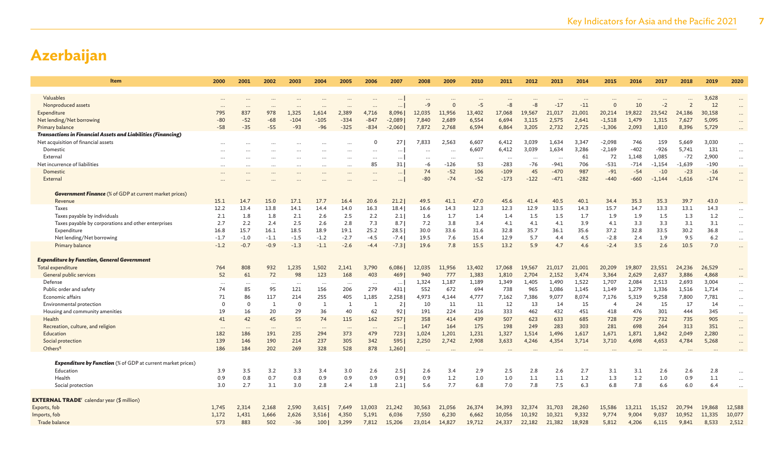| Item                                                                | 2000       | 2001       | 2002       | 2003        | 2004             | 2005       | 2006       | 2007           | 2008           | 2009      | 2010     | 2011           | 2012           | 2013     | 2014     | 2015           | 2016           | 2017           | 2018           | 2019        | 2020                 |
|---------------------------------------------------------------------|------------|------------|------------|-------------|------------------|------------|------------|----------------|----------------|-----------|----------|----------------|----------------|----------|----------|----------------|----------------|----------------|----------------|-------------|----------------------|
|                                                                     |            |            |            |             |                  |            |            |                |                |           |          |                |                |          |          |                |                |                |                |             |                      |
| Valuables<br>Nonproduced assets                                     |            |            |            |             |                  |            |            |                |                |           | $-5$     | -8             | $-8$           | $-17$    | $-11$    | $\Omega$       | 10             | $-2$           | $\overline{2}$ | 3,628<br>12 | $\cdots$             |
| Expenditure                                                         | 795        | 837        | 978        | 1,325       | 1,614            | 2,389      | 4,716      | 8,096          | 12,035         | 11,956    | 13,402   | 17,068         | 19,567         | 21,017   | 21,001   | 20,214         | 19,822         | 23,542         | 24,186         | 30,158      | $\cdots$<br>$\cdots$ |
| Net lending/Net borrowing                                           | $-80$      | $-52$      | $-68$      | $-104$      | $-105$           | $-334$     | $-847$     | $-2,089$       | 7,840          | 2,689     | 6,554    | 6,694          | 3,115          | 2,575    | 2,641    | $-1,518$       | 1,479          | 1,315          | 7,627          | 5,095       | $\cdots$             |
| Primary balance                                                     | $-58$      | $-35$      | $-55$      | $-93$       | $-96$            | $-325$     | $-834$     | $-2,060$       | 7,872          | 2,768     | 6,594    | 6,864          | 3,205          | 2,732    | 2,725    | $-1,306$       | 2,093          | 1,810          | 8,396          | 5,729       | $\cdots$             |
| <b>Transactions in Financial Assets and Liabilities (Financing)</b> |            |            |            |             |                  |            |            |                |                |           |          |                |                |          |          |                |                |                |                |             |                      |
| Net acquisition of financial assets                                 |            |            |            |             |                  |            |            | 27             | 7,833          | 2,563     | 6,607    | 6,412          | 3,039          | 1,634    | 3,347    | $-2,098$       | 746            | 159            | 5,669          | 3,030       | $\cdots$             |
| Domestic                                                            |            |            |            |             | $\cdots$         | $\ddots$   | $\cdots$   | $\cdots$       |                |           | 6,607    | 6,412          | 3,039          | 1,634    | 3,286    | $-2,169$       | $-402$         | $-926$         | 5,741          | 131         | $\cdots$             |
| External                                                            |            |            | $\cdots$   |             | $\cdots$         | $\cdots$   | $\cdots$   | $\cdots$       |                | $\cdots$  | $\cdots$ | $\cdots$       | $\cdots$       | $\cdots$ | 61       | 72             | 1,148          | 1,085          | $-72$          | 2,900       | $\cdots$             |
| Net incurrence of liabilities                                       |            |            | $\cdots$   |             | $\cdots$         |            | 85         | 31             | -6             | $-126$    | 53       | $-283$         | $-76$          | $-941$   | 706      | $-531$         | $-714$         | $-1,154$       | $-1,639$       | $-190$      | $\cdots$             |
| Domestic                                                            |            |            |            |             |                  |            |            | $\cdots$       | 74             | $-52$     | 106      | $-109$         | 45             | $-470$   | 987      | $-91$          | $-54$          | $-10$          | $-23$          | $-16$       | $\cdots$             |
| Externa                                                             |            |            |            |             |                  |            |            | $\cdots$       | $-80$          | $-74$     | $-52$    | $-173$         | $-122$         | $-471$   | $-282$   | $-440$         | $-660$         | $-1.144$       | $-1,616$       | $-174$      | $\ldots$             |
| <b>Government Finance</b> (% of GDP at current market prices)       |            |            |            |             |                  |            |            |                |                |           |          |                |                |          |          |                |                |                |                |             |                      |
| Revenue                                                             | 15.1       | 14.7       | 15.0       | 17.1        | 17.7             | 16.4       | 20.6       | 21.2           | 49.5           | 41.1      | 47.0     | 45.6           | 41.4           | 40.5     | 40.1     | 34.4           | 35.3           | 35.3           | 39.7           | 43.0        |                      |
| Taxes                                                               | 12.2       | 13.4       | 13.8       | 14.1        | 14.4             | 14.0       | 16.3       | 18.4           | 16.6           | 14.3      | 12.3     | 12.3           | 12.9           | 13.5     | 14.3     | 15.7           | 14.7           | 13.3           | 13.1           | 14.3        | $\cdots$             |
| Taxes payable by individuals                                        | 2.1        | 1.8        | 1.8        | 2.1         | 2.6              | 2.5        | 2.2        | 2.1            | 1.6            | 1.7       | 1.4      | 1.4            | 1.5            | 1.5      | 1.7      | 1.9            | 1.9            | 1.5            | 1.3            | 1.2         | $\cdots$             |
| Taxes payable by corporations and other enterprises                 | 2.7        | 2.2        | 2.4        | 2.5         | 2.6              | 2.8        | 7.3        | 8.7            | 7.2            | 3.8       | 3.4      | 4.1            | 4.1            | 4.1      | 3.9      | 4.1            | 3.3            | 3.3            | 3.1            | 3.1         | $\ldots$             |
| Expenditure                                                         | 16.8       | 15.7       | 16.1       | 18.5        | 18.9             | 19.1       | 25.2       | 28.5           | 30.0           | 33.6      | 31.6     | 32.8           | 35.7           | 36.1     | 35.6     | 37.2           | 32.8           | 33.5           | 30.2           | 36.8        | $\cdots$             |
| Net lending/Net borrowing                                           | $-1.7$     | $-1.0$     | $-1.1$     | $-1.5$      | $-1.2$           | $-2.7$     | $-4.5$     | $-7.4$         | 19.5           | 7.6       | 15.4     | 12.9           | 5.7            | 4.4      | 4.5      | $-2.8$         | 2.4            | 1.9            | 9.5            | 6.2         | $\cdots$             |
| Primary balance                                                     | $-1.2$     | $-0.7$     | $-0.9$     | $-1.3$      | $-1.1$           | $-2.6$     | $-4.4$     | $-7.3$         | 19.6           | 7.8       | 15.5     | 13.2           | 5.9            | 4.7      | 4.6      | $-2.4$         | 3.5            | 2.6            | 10.5           | 7.0         | $\cdots$             |
| <b>Expenditure by Function, General Government</b>                  |            |            |            |             |                  |            |            |                |                |           |          |                |                |          |          |                |                |                |                |             |                      |
| Total expenditure                                                   | 764        | 808        | 932        | 1,235       | 1,502            | 2,141      | 3,790      | 6,086          | 12,035         | 11,956    | 13,402   | 17,068         | 19,567         | 21,017   | 21,001   | 20,209         | 19,807         | 23,551         | 24,236         | 26,529      |                      |
| General public services                                             | 52         | 61         | 72         | 98          | 123              | 168        | 403        | 469            | 940            | 777       | 1,383    | 1,810          | 2,704          | 2,152    | 3,474    | 3,364          | 2,629          | 2,637          | 3,886          | 4,868       |                      |
| Defense                                                             | $\cdots$   | $\cdots$   | $\cdots$   | $\ddotsc$   | $\cdots$         | $\cdots$   | $\cdots$   | $\cdots$       | 1,324          | 1,187     | 1,189    | 1,349          | 1,405          | 1,490    | 1,522    | 1,707          | 2,084          | 2,513          | 2,693          | 3,004       | $\cdots$             |
| Public order and safety                                             | 74         | 85         | 95         | 121         | 156              | 206        | 279        | 431            | 552            | 672       | 694      | 738            | 965            | 1,086    | 1,145    | 1,149          | 1,279          | 1,336          | 1,516          | 1,714       | $\cdots$             |
| Economic affairs                                                    | 71         | 86         | 117        | 214         | 255              | 405        | 1,185      | 2,258          | 4.973          | 4,144     | 4,777    | 7,162          | 7,386          | 9,077    | 8,074    | 7,176          | 5,319          | 9,258          | 7,800          | 7,781       | $\cdots$             |
| Environmental protection                                            | $\Omega$   | $\Omega$   | 1          | $\mathbf 0$ | 1                | -1         | 1          | $\overline{2}$ | 10             | 11        | 11       | 12             | 13             | 14       | 15       | $\overline{4}$ | 24             | 15             | 17             | 14          | $\cdots$             |
| Housing and community amenities                                     | 19         | 16         | 20         | 29          | 36               | 40         | 62         | 92             | 191            | 224       | 216      | 333            | 462            | 432      | 451      | 418            | 476            | 301            | 444            | 345         | $\cdots$             |
| Health                                                              | 41         | 42         | 45         | 55          | 74               | 115        | 162        | 257            | 358            | 414       | 439      | 507            | 623            | 633      | 685      | 728            | 729            | 732            | 735            | 905         | $\cdots$             |
| Recreation, culture, and religion                                   | $\cdots$   | $\cdots$   | $\cdots$   | $\cdots$    | $\cdots$         | $\cdots$   | $\cdots$   | $\ldots$       | 147            | 164       | 175      | 198            | 249            | 283      | 303      | 281            | 698            | 264            | 313            | 351         | $\cdots$             |
| Education                                                           | 182<br>139 | 186<br>146 | 191<br>190 | 235<br>214  | 294<br>237       | 373<br>305 | 479<br>342 | 723<br>595     | 1,024<br>2,250 | 1,201     | 1,231    | 1,327<br>3,633 | 1,514<br>4,246 | 1,496    | 1,617    | 1,671          | 1,871<br>4,698 | 1,842<br>4,653 | 2,049          | 2,280       | $\cdots$             |
| Social protection<br>Othersq                                        | 186        | 184        | 202        | 269         | 328              | 528        | 878        | 1,260          |                | 2,742     | 2,908    |                |                | 4,354    | 3,714    | 3,710          |                |                | 4,784          | 5,268       | $\ddots$             |
|                                                                     |            |            |            |             |                  |            |            |                |                | $\ddotsc$ | $\cdots$ |                | $\cdots$       |          | $\cdots$ | $\cdots$       | $\cdots$       | $\cdots$       | $\cdots$       |             |                      |
| <b>Expenditure by Function</b> (% of GDP at current market prices)  |            |            |            |             |                  |            |            |                |                |           |          |                |                |          |          |                |                |                |                |             |                      |
| Education                                                           | 3.9        | 3.5        | 3.2        | 3.3         | 3.4              | 3.0        | 2.6        | 2.5            | 2.6            | 3.4       | 2.9      | 2.5            | 2.8            | 2.6      | 2.7      | 3.1            | 3.1            | 2.6            | 2.6            | 2.8         | $\ldots$             |
| Health                                                              | 0.9        | 0.8        | 0.7        | 0.8         | 0.9              | 0.9        | 0.9        | 0.9            | 0.9            | 1.2       | 1.0      | 1.0            | 1.1            | 1.1      | 1.2      | 1.3            | 1.2            | 1.0            | 0.9            | 1.1         | $\cdots$             |
| Social protection                                                   | 3.0        | 2.7        | 3.1        | 3.0         | 2.8              | 2.4        | 1.8        | 2.1            | 5.6            | 7.7       | 6.8      | 7.0            | 7.8            | 7.5      | 6.3      | 6.8            | 7.8            | 6.6            | 6.0            | 6.4         | $\ddots$             |
|                                                                     |            |            |            |             |                  |            |            |                |                |           |          |                |                |          |          |                |                |                |                |             |                      |
| <b>EXTERNAL TRADE</b> <sup>r</sup> calendar year (\$ million)       |            |            |            |             |                  |            |            |                |                |           |          |                |                |          |          |                |                |                |                |             |                      |
| Exports, fob                                                        | 1,745      | 2,314      | 2,168      | 2,590       | 3,615            | 7,649      | 13,003     | 21,242         | 30,563         | 21,056    | 26,374   | 34,393         | 32,374         | 31,703   | 28,260   | 15,586         | 13.211         | 15,152         | 20,794         | 19,868      | 12,588               |
| mports, fob                                                         | 1,172      | 1,431      | 1,666      | 2,626       | 3,516            | 4,350      | 5,191      | 6,036          | 7,550          | 6,230     | 6,662    | 10,056         | 10,192         | 10,321   | 9,332    | 9,774          | 9,004          | 9,037          | 10,952         | 11,335      | 10,077               |
| Trade balance                                                       | 573        | 883        | 502        | $-36$       | 100 <sub>l</sub> | 3,299      | 7,812      | 15,206         | 23,014         | 14,827    | 19,712   | 24,337         | 22,182         | 21,382   | 18,928   | 5,812          | 4,206          | 6,115          | 9,841          | 8,533       | 2,512                |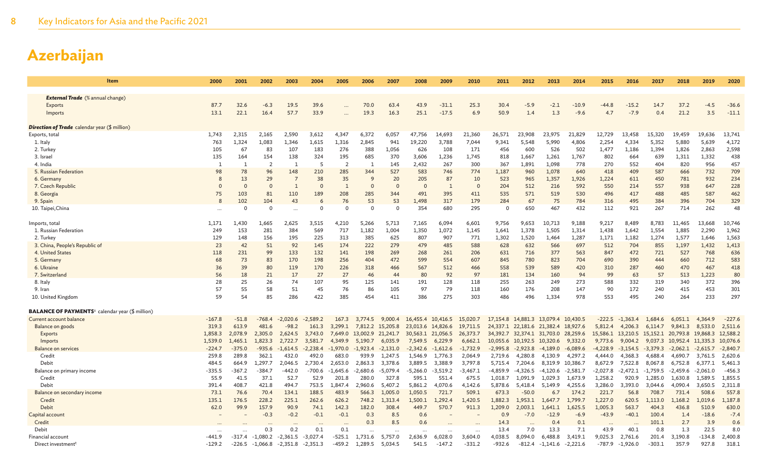| Item                                                               | 2000     | 2001     | 2002              | 2003           | 2004       | 2005           | 2006             | 2007       | 2008              | 2009              | 2010       | 2011       | 2012                                       | 2013             | 2014       | 2015              | 2016       | 2017              | 2018                      | 2019       | 2020       |
|--------------------------------------------------------------------|----------|----------|-------------------|----------------|------------|----------------|------------------|------------|-------------------|-------------------|------------|------------|--------------------------------------------|------------------|------------|-------------------|------------|-------------------|---------------------------|------------|------------|
|                                                                    |          |          |                   |                |            |                |                  |            |                   |                   |            |            |                                            |                  |            |                   |            |                   |                           |            |            |
| <b>External Trade</b> (% annual change)                            |          |          |                   |                |            |                |                  |            |                   |                   |            |            |                                            |                  |            |                   |            |                   |                           |            |            |
| <b>Exports</b>                                                     | 87.7     | 32.6     | $-6.3$            | 19.5           | 39.6       |                | 70.0             | 63.4       | 43.9              | $-31.1$           | 25.3       | 30.4       | $-5.9$                                     | $-2.1$           | $-10.9$    | $-44.8$           | $-15.2$    | 14.7              | 37.2                      | $-4.5$     | $-36.6$    |
| Imports                                                            | 13.1     | 22.1     | 16.4              | 57.7           | 33.9       |                | 19.3             | 16.3       | 25.1              | $-17.5$           | 6.9        | 50.9       | 1.4                                        | 1.3              | $-9.6$     | 4.7               | $-7.9$     | 0.4               | 21.2                      | 3.5        | $-11.1$    |
| <b>Direction of Trade</b> calendar year (\$ million)               |          |          |                   |                |            |                |                  |            |                   |                   |            |            |                                            |                  |            |                   |            |                   |                           |            |            |
| Exports, total                                                     | 1,743    | 2,315    | 2.165             | 2,590          | 3,612      | 4.347          | 6,372            | 6,057      | 47,756            | 14,693            | 21,360     | 26,571     | 23,908                                     | 23,975           | 21,829     | 12,729            | 13,458     | 15,320            | 19,459                    | 19.636     | 13,741     |
| 1. Italy                                                           | 763      | 1,324    | 1,083             | 1,346          | 1,615      | 1,316          | 2,845            | 941        | 19,220            | 3,788             | 7,044      | 9,341      | 5,548                                      | 5,990            | 4,806      | 2,254             | 4,334      | 5,352             | 5,880                     | 5,639      | 4,172      |
| 2. Turkey                                                          | 105      | 67       | 83                | 107            | 183        | 276            | 388              | 1,056      | 626               | 108               | 171        | 456        | 600                                        | 526              | 502        | 1,477             | 1,186      | 1,394             | 1,826                     | 2,863      | 2,598      |
| 3. Israel                                                          | 135      | 164      | 154               | 138            | 324        | 195            | 685              | 370        | 3,606             | 1,236             | 1,745      | 818        | 1,667                                      | 1,261            | 1,767      | 802               | 664        | 639               | 1,311                     | 1,332      | 438        |
| 4. India                                                           | -1       | 1        | 2                 | - 1            | -5         | $\overline{2}$ | -1               | 145        | 2,432             | 267               | 300        | 367        | 1,891                                      | 1,098            | 778        | 270               | 552        | 404               | 820                       | 956        | 457        |
| 5. Russian Federation                                              | 98       | 78       | 96                | 148            | 210        | 285            | 344              | 527        | 583               | 746               | 774        | 1,187      | 960                                        | 1,078            | 640        | 418               | 409        | 587               | 666                       | 732        | 709        |
| 6. Germany                                                         | 8        | 13       | 29                | $\overline{7}$ | 38         | 35             | 9                | 20         | 205               | 87                | 10         | 523        | 965                                        | 1,357            | 1,926      | 1,224             | 611        | 450               | 781                       | 932        | 234        |
| 7. Czech Republic                                                  | $\Omega$ | $\Omega$ | $\Omega$          | $\overline{1}$ | $\Omega$   | $\mathbf{1}$   | $\Omega$         | $\Omega$   | $\Omega$          | 1                 | $\Omega$   | 204        | 512                                        | 216              | 592        | 550               | 214        | 557               | 938                       | 647        | 228        |
| 8. Georgia                                                         | 75       | 103      | 81                | 110            | 189        | 208            | 285              | 344        | 491               | 395               | 411        | 535        | 571                                        | 519              | 530        | 496               | 417        | 488               | 485                       | 587        | 462        |
| 9. Spain                                                           | 8        | 102      | 104               | 43             | 6          | 76             | 53               | 53         | 1.498             | 317               | 179        | 284        | 67                                         | 75               | 784        | 316               | 495        | 384               | 396                       | 704        | 329        |
| 10. Taipei, China                                                  |          | $\Omega$ | $\mathbf 0$       |                | $\Omega$   | $\Omega$       | $\Omega$         | $\Omega$   | 354               | 680               | 295        | $\Omega$   | 650                                        | 467              | 432        | 112               | 921        | 267               | 714                       | 262        | 48         |
| lmports, total                                                     | 1,171    | 1,430    | 1,665             | 2,625          | 3,515      | 4,210          | 5,266            | 5,713      | 7,165             | 6,094             | 6,601      | 9,756      | 9,653                                      | 10,713           | 9,188      | 9,217             | 8,489      | 8,783             | 11,465                    | 13,668     | 10,746     |
| 1. Russian Federation                                              | 249      | 153      | 281               | 384            | 569        | 717            | 1,182            | 1,004      | 1,350             | 1,072             | 1,145      | 1,641      | 1,378                                      | 1,505            | 1,314      | 1,438             | 1,642      | 1,554             | 1,885                     | 2,290      | 1,962      |
| 2. Turkey                                                          | 129      | 148      | 156               | 195            | 225        | 313            | 385              | 625        | 807               | 907               | 771        | 1,302      | 1,520                                      | 1.464            | 1,287      | 1,171             | 1,182      | 1,274             | 1,577                     | 1,646      | 1,563      |
| 3. China, People's Republic of                                     | 23       | 42       | 51                | 92             | 145        | 174            | 222              | 279        | 479               | 485               | 588        | 628        | 632                                        | 566              | 697        | 512               | 704        | 855               | 1,197                     | 1,432      | 1,413      |
| 4. United States                                                   | 118      | 231      | 99                | 133            | 132        | 141            | 198              | 269        | 268               | 261               | 206        | 631        | 716                                        | 377              | 563        | 847               | 472        | 721               | 527                       | 768        | 636        |
| 5. Germany                                                         | 68       | 73       | 83                | 170            | 198        | 256            | 404              | 472        | 599               | 554               | 607        | 845        | 780                                        | 823              | 704        | 690               | 390        | 444               | 660                       | 712        | 583        |
| 6. Ukraine                                                         | 36       | 39       | 80                | 119            | 170        | 226            | 318              | 466        | 567               | 512               | 466        | 558        | 539                                        | 589              | 420        | 310               | 287        | 460               | 470                       | 467        | 418        |
| 7. Switzerland                                                     | 56       | 18       | 21                | 17             | 27         | 27             | 46               | 44         | 80                | 92                | 97         | 181        | 134                                        | 160              | 94         | 99                | 63         | 57                | 513                       | 1,223      | 80         |
| 8. Italy                                                           | 28       | 25       | 26                | 74             | 107        | 95             | 125              | 141        | 191               | 128               | 118        | 255        | 263                                        | 249              | 273        | 588               | 332        | 319               | 340                       | 372        | 396        |
| 9. Iran                                                            | 57       | 55       | 58                | 51             | 45         | 76             | 86               | 105        | 97                | 79                | 118        | 160        | 176                                        | 208              | 147        | 90                | 172        | 240               | 415                       | 453        | 301        |
| 10. United Kingdom                                                 | 59       | 54       | 85                | 286            | 422        | 385            | 454              | 411        | 386               | 275               | 303        | 486        | 496                                        | 1,334            | 978        | 553               | 495        | 240               | 264                       | 233        | 297        |
| <b>BALANCE OF PAYMENTS</b> <sup>s</sup> calendar year (\$ million) |          |          |                   |                |            |                |                  |            |                   |                   |            |            |                                            |                  |            |                   |            |                   |                           |            |            |
| Current account balance                                            | $-167.8$ | $-51.8$  | $-768.4$          | $-2,020.6$     | $-2,589.2$ | 167.3          | 3,774.5          | 9,000.4    | 16,455.4 10,416.5 |                   | 15,020.7   |            | 17, 154.8  14, 881.3  13, 079.4  10, 430.5 |                  |            | -222.5            | $-1,363.4$ | 1,684.6           | 6,051.1                   | 4.364.9    | $-227.6$   |
| Balance on goods                                                   | 319.3    | 613.9    | 481.6             | $-98.2$        | 161.3      | 3,299.1        | 7,812.2          | 15,205.8   | 23,013.6 14,826.6 |                   | 19,711.5   |            | 24,337.1 22,181.6 21,382.4 18,927.6        |                  |            | 5,812.4           | 4,206.3    | 6,114.7           | 9,841.3                   | 8,533.0    | 2,511.6    |
| Exports                                                            | 1,858.3  | 2,078.9  | 2,305.0           | 2,624.5        | 3,743.0    |                | 7,649.0 13,002.9 | 21,241.7   |                   | 30,563.1 21,056.5 | 26,373.7   |            | 34,392.7 32,374.1 31,703.0 28,259.6        |                  |            | 15,586.1 13,210.5 |            | 15,152.1 20,793.8 |                           | 19,868.3   | 12,588.2   |
| Imports                                                            | 1,539.0  | 1,465.1  | 1.823.3           | 2,722.7        | 3,581.7    | 4.349.9        | 5,190.7          | 6,035.9    | 7,549.5           | 6,229.9           | 6,662.1    |            | 10,055.6 10,192.5 10,320.6                 |                  | 9,332.0    | 9,773.6           | 9,004.2    |                   | 9,037.3 10,952.4 11,335.3 |            | 10,076.6   |
| <b>Balance on services</b>                                         | $-224.7$ | $-375.0$ | $-935.6$          | $-1,614.5$     | $-2,238.4$ | $-1,970.0$     | $-1,923.4$       | $-2,131.0$ | $-2,342.6$        | $-1,612.6$        | $-1,732.9$ | $-2,995.8$ | $-2,923.8$                                 | $-4,189.0$       | $-6,089.6$ | $-4,228.9$        | $-3,154.5$ | $-3,379.3$        | $-2,062.1$                | $-2,615.7$ | $-2,840.7$ |
| Credit                                                             | 259.8    | 289.8    | 362.1             | 432.0          | 492.0      | 683.0          | 939.9            | 1,247.5    | 1,546.9           | 1,776.3           | 2,064.9    | 2,719.6    | 4,280.8                                    | 4,130.9          | 4,297.2    | 4,444.0           | 4,368.3    | 4,688.4           | 4.690.7                   | 3,761.5    | 2,620.6    |
| Debit                                                              | 484.5    | 664.9    | 1,297.7           | 2,046.5        | 2,730.4    | 2,653.0        | 2,863.3          | 3,378.6    | 3,889.5           | 3,388.9           | 3,797.8    | 5,715.4    | 7,204.6                                    | 8,319.9 10,386.7 |            | 8,672.9           | 7,522.8    | 8,067.8           | 6,752.8                   | 6,377.1    | 5,461.3    |
| Balance on primary income                                          | $-335.5$ | $-367.2$ | $-384.7$          | $-442.0$       | $-700.6$   | $-1,645.6$     | $-2,680.6$       | $-5,079.4$ | -5,266.0          | $-3,519.2$        | $-3,467.1$ | $-4,859.9$ | $-4,326.5$                                 | -4,120.6         | $-2,581.7$ | -2,027.8          | $-2,472.1$ | $-1,759.5$        | $-2,459.6$                | $-2,061.0$ | $-456.3$   |
| Credit                                                             | 55.9     | 41.5     | 37.1              | 52.7           | 52.9       | 201.8          | 280.0            | 327.8      | 595.1             | 551.4             | 675.5      | 1,018.7    | 1,091.9                                    | 1,029.3          | 1,673.9    | 1,258.2           | 920.9      | 1,285.0           | 1,630.8                   | 1,589.5    | 1,855.5    |
| Debit                                                              | 391.4    | 408.7    | 421.8             | 494.7          | 753.5      | 1,847.4        | 2,960.6          | 5,407.2    | 5,861.2           | 4,070.6           | 4,142.6    | 5,878.6    | 5,418.4                                    | 5,149.9          | 4,255.6    | 3,286.0           | 3,393.0    | 3,044.6           | 4,090.4                   | 3,650.5    | 2,311.8    |
| Balance on secondary income                                        | 73.1     | 76.6     | 70.4              | 134.1          | 188.5      | 483.9          | 566.3            | 1,005.0    | 1,050.5           | 721.7             | 509.1      | 673.3      | $-50.0$                                    | 6.7              | 174.2      | 221.7             | 56.8       | 708.7             | 731.4                     | 508.6      | 557.8      |
| Credit                                                             | 135.1    | 176.5    | 228.2             | 225.1          | 262.6      | 626.2          | 748.2            | 1.313.4    | 1,500.1           | 1,292.4           | 1,420.5    | 1,882.3    | 1,953.1                                    | 1.647.7          | 1,799.7    | 1,227.0           | 620.5      | 1.113.0           | 1.168.2                   | 1.019.6    | 1,187.8    |
| Debit                                                              | 62.0     | 99.9     | 157.9             | 90.9           | 74.1       | 142.3          | 182.0            | 308.4      | 449.7             | 570.7             | 911.3      | 1,209.0    | 2,003.1                                    | 1,641.1          | 1,625.5    | 1,005.3           | 563.7      | 404.3             | 436.8                     | 510.9      | 630.0      |
| Capital account                                                    |          |          | -0.3              | $-0.2$         | $-0.1$     | $-0.1$         | 0.3              | 8.5        | 0.6               |                   |            | 0.9        | $-7.0$                                     | $-12.9$          | $-6.9$     | $-43.9$           | $-40.1$    | 100.4             | 1.4                       | $-18.6$    | $-7.4$     |
| Credit                                                             |          |          |                   |                |            |                | 0.3              | 8.5        | 0.6               |                   |            | 14.3       |                                            | 0.4              | 0.1        | $\cdots$          |            | 101.1             | 2.7                       | 3.9        | 0.6        |
| Debit                                                              |          |          | 0.3               | 0.2            | 0.1        | 0.1            |                  | $\cdots$   | $\cdots$          | $\cdots$          | $\ddotsc$  | 13.4       | 7.0                                        | 13.3             | 7.1        | 43.9              | 40.1       | 0.8               | 1.3                       | 22.5       | 8.0        |
| Financial account                                                  | -441.9   | -317.4   | $-1,080.2$        | $-2,361.5$     | $-3,027.4$ | $-525.1$       | 1,731.6          | 5,757.0    | 2,636.9           | 6,028.0           | 3,604.0    | 4,038.5    | 8,094.0                                    | 6,488.8          | 3,419.1    | 9,025.3           | 2,761.6    | 201.4             | 3,190.8                   | $-134.8$   | 2,400.8    |
| Direct investment <sup>t</sup>                                     | $-129.2$ |          | $-226.5 -1,066.8$ | -2,351.8       | $-2,351.3$ | $-459.2$       | 1,289.5          | 5,034.5    | 541.5             | $-147.2$          | $-331.2$   | $-932.6$   | $-812.4$                                   | $-1.141.6$       | $-2,221.6$ | $-787.9$          | $-1,926.0$ | $-303.1$          | 357.9                     | 927.8      | 318.1      |
|                                                                    |          |          |                   |                |            |                |                  |            |                   |                   |            |            |                                            |                  |            |                   |            |                   |                           |            |            |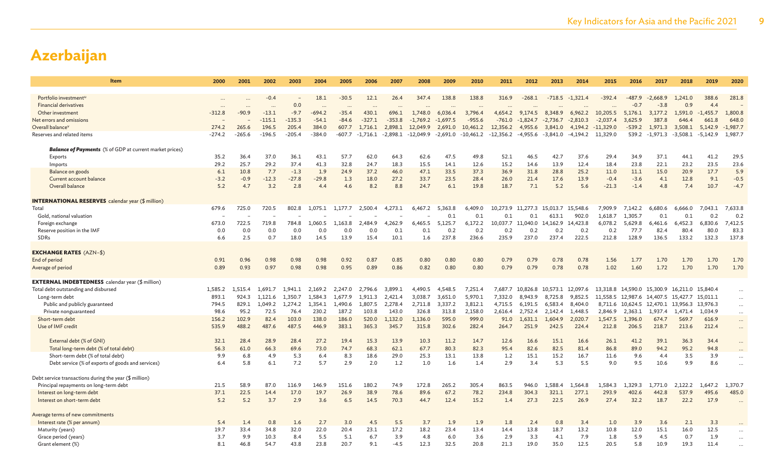| Item                                                           | 2000         | 2001                 | 2002                | 2003         | 2004                | 2005               | 2006               | 2007                | 2008                  | 2009                  | 2010                | 2011                              | 2012         | 2013                  | 2014                  | 2015                   | 2016               | 2017                 | 2018                       | 2019                | 2020         |
|----------------------------------------------------------------|--------------|----------------------|---------------------|--------------|---------------------|--------------------|--------------------|---------------------|-----------------------|-----------------------|---------------------|-----------------------------------|--------------|-----------------------|-----------------------|------------------------|--------------------|----------------------|----------------------------|---------------------|--------------|
|                                                                |              |                      |                     |              |                     |                    |                    |                     |                       |                       |                     |                                   |              |                       |                       |                        |                    |                      |                            |                     |              |
| Portfolio investment <sup>u</sup>                              |              |                      | $-0.4$              | 0.0          | 18.1                | $-30.5$            | 12.1               | 26.4                | 347.4                 | 138.8                 | 138.8               | 316.9                             | $-268.1$     | $-718.5$              | $-1.321.4$            | $-392.4$               | -487.9             | $-2.668.9$<br>$-3.8$ | 1.241.0<br>0.9             | 388.6               | 281.8        |
| <b>Financial derivatives</b>                                   | $\cdots$     | $\ddotsc$<br>$-90.9$ |                     | $-9.7$       | $\ddots$            |                    | $\ddotsc$<br>430.1 |                     |                       |                       | $\ddots$            |                                   | 9.174.5      |                       |                       |                        | $-0.7$             |                      |                            | 4.4                 | 1,800.8      |
| Other investment<br>Net errors and omissions                   | $-312.8$     |                      | $-13.1$<br>$-115.1$ | $-135.3$     | $-694.2$<br>$-54.1$ | $-35.4$<br>$-84.6$ | $-327.1$           | 696.1<br>$-353.8$   | 1,748.0<br>$-1,769.2$ | 6,036.4<br>$-1,697.5$ | 3,796.4<br>$-955.6$ | 4,654.2<br>$-761.0$               | $-1,824.7$   | 8,348.9<br>$-2,736.7$ | 6,962.2<br>$-2,810.3$ | 10,205.5<br>$-2,037.4$ | 5,176.1<br>3,625.9 | 3,177.2<br>387.8     | 1,591.0<br>646.4           | $-1,455.7$<br>661.8 | 648.0        |
| Overall balance <sup>v</sup>                                   | 274.2        | 265.6                | 196.5               | 205.4        | 384.0               | 607.7              | 1,716.1            | 2,898.1             | 12,049.9              | 2,691.0               | 10,461.2            | 12,356.2                          | 4,955.6      | 3,841.0               | 4,194.2               | $-11,329.0$            | $-539.2$           | 1,971.3              | 3,508.1                    | 5,142.9             | $-1,987.7$   |
| Reserves and related items                                     | $-274.2$     | $-265.6$             | $-196.5$            | $-205.4$     | $-384.0$            | $-607.7$           |                    | $-1.716.1 -2.898.1$ | $-12,049.9$           | -2,691.0              | -10,461.2           | $-12,356.2$ $-4,955.6$ $-3,841.0$ |              |                       | -4,194.2              | 11,329.0               | 539.2              | $-1,971.3$           |                            | $-3,508.1 -5,142.9$ | 1,987.7      |
|                                                                |              |                      |                     |              |                     |                    |                    |                     |                       |                       |                     |                                   |              |                       |                       |                        |                    |                      |                            |                     |              |
| <b>Balance of Payments</b> (% of GDP at current market prices) |              |                      |                     |              |                     |                    |                    |                     |                       |                       |                     |                                   |              |                       |                       |                        |                    |                      |                            |                     |              |
| Exports                                                        | 35.2         | 36.4                 | 37.0                | 36.1         | 43.1                | 57.7               | 62.0               | 64.3                | 62.6                  | 47.5                  | 49.8                | 52.1                              | 46.5         | 42.7                  | 37.6                  | 29.4                   | 34.9               | 37.1                 | 44.1                       | 41.2                | 29.5         |
| Imports                                                        | 29.2         | 25.7                 | 29.2                | 37.4         | 41.3                | 32.8               | 24.7               | 18.3                | 15.5                  | 14.1                  | 12.6                | 15.2                              | 14.6         | 13.9                  | 12.4                  | 18.4                   | 23.8               | 22.1                 | 23.2                       | 23.5                | 23.6         |
| Balance on goods                                               | 6.1          | 10.8                 | 7.7                 | $-1.3$       | 1.9                 | 24.9               | 37.2               | 46.0                | 47.1                  | 33.5                  | 37.3                | 36.9                              | 31.8         | 28.8                  | 25.2                  | 11.0                   | 11.1               | 15.0                 | 20.9                       | 17.7                | 5.9          |
| Current account balance                                        | $-3.2$       | $-0.9$               | $-12.3$             | $-27.8$      | $-29.8$             | 1.3                | 18.0               | 27.2                | 33.7                  | 23.5                  | 28.4                | 26.0                              | 21.4         | 17.6                  | 13.9                  | $-0.4$                 | $-3.6$             | 4.1                  | 12.8                       | 9.1                 | $-0.5$       |
| Overall balance                                                | 5.2          | 4.7                  | 3.2                 | 2.8          | 4.4                 | 4.6                | 8.2                | 8.8                 | 24.7                  | 6.1                   | 19.8                | 18.7                              | 7.1          | 5.2                   | 5.6                   | $-21.3$                | $-1.4$             | 4.8                  | 7.4                        | 10.7                | $-4.7$       |
| <b>INTERNATIONAL RESERVES</b> calendar year (\$ million)       |              |                      |                     |              |                     |                    |                    |                     |                       |                       |                     |                                   |              |                       |                       |                        |                    |                      |                            |                     |              |
| Total                                                          | 679.6        | 725.0                | 720.5               | 802.8        | 1,075.1             | 1,177.7            | 2,500.4            | 4,273.1             | 6,467.2               | 5,363.8               | 6,409.0             | 10,273.9 11,277.3                 |              | 15,013.7              | 15,548.6              | 7,909.9                | 7,142.2            | 6,680.6              | 6,666.0                    | 7.043.1             | 7,633.8      |
| Gold, national valuation                                       |              |                      |                     |              |                     |                    |                    |                     |                       | 0.1                   | 0.1                 | 0.1                               | 0.1          | 613.1                 | 902.0                 | 1,618.7                | 1.305.7            | 0.1                  | 0.1                        | 0.2                 | 0.2          |
| Foreign exchange                                               | 673.0        | 722.5                | 719.8               | 784.8        | 1,060.5             | 1,163.8            | 2.484.9            | 4,262.9             | 6,465.5               | 5.125.7               | 6,172.2             | 10,037.7 11,040.0                 |              | 14,162.9              | 14,423.8              | 6,078.2                | 5,629.8            | 6,461.6              | 6,452.3                    | 6,830.6             | 7,412.5      |
| Reserve position in the IMF                                    | 0.0          | 0.0                  | 0.0                 | 0.0          | 0.0                 | 0.0                | 0.0                | 0.1                 | 0.1                   | 0.2                   | 0.2                 | 0.2                               | 0.2          | 0.2                   | 0.2                   | 0.2                    | 77.7               | 82.4                 | 80.4                       | 80.0                | 83.3         |
| <b>SDRs</b>                                                    | 6.6          | 2.5                  | 0.7                 | 18.0         | 14.5                | 13.9               | 15.4               | 10.1                | 1.6                   | 237.8                 | 236.6               | 235.9                             | 237.0        | 237.4                 | 222.5                 | 212.8                  | 128.9              | 136.5                | 133.2                      | 132.3               | 137.8        |
|                                                                |              |                      |                     |              |                     |                    |                    |                     |                       |                       |                     |                                   |              |                       |                       |                        |                    |                      |                            |                     |              |
| <b>EXCHANGE RATES (AZN-\$)</b>                                 |              |                      | 0.98                |              |                     | 0.92               |                    |                     |                       |                       |                     |                                   |              |                       |                       |                        |                    |                      | 1.70                       | 1.70                |              |
| End of period<br>Average of period                             | 0.91<br>0.89 | 0.96<br>0.93         | 0.97                | 0.98<br>0.98 | 0.98<br>0.98        | 0.95               | 0.87<br>0.89       | 0.85<br>0.86        | 0.80<br>0.82          | 0.80<br>0.80          | 0.80<br>0.80        | 0.79<br>0.79                      | 0.79<br>0.79 | 0.78<br>0.78          | 0.78<br>0.78          | 1.56<br>1.02           | 1.77<br>1.60       | 1.70<br>1.72         | 1.70                       | 1.70                | 1.70<br>1.70 |
|                                                                |              |                      |                     |              |                     |                    |                    |                     |                       |                       |                     |                                   |              |                       |                       |                        |                    |                      |                            |                     |              |
| <b>EXTERNAL INDEBTEDNESS</b> calendar year (\$ million)        |              |                      |                     |              |                     |                    |                    |                     |                       |                       |                     |                                   |              |                       |                       |                        |                    |                      |                            |                     |              |
| Total debt outstanding and disbursed                           | 1,585.2      | 1,515.4              | 1.691.7             | 1,941.1      | 2,169.2             | 2,247.0            | 2,796.6            | 3,899.1             | 4,490.5               | 4,548.5               | 7,251.4             | 7,687.7                           | 10,826.8     | 10,573.1              | 12,097.6              |                        | 13,318.8 14,590.0  |                      | 15,300.9 16,211.0 15,840.4 |                     | $\cdots$     |
| Long-term debt                                                 | 893.1        | 924.3                | 1.121.6             | 1.350.7      | 1.584.3             | 1.677.9            | 1.911.3            | 2.421.4             | 3,038.7               | 3.651.0               | 5,970.1             | 7,332.0                           | 8.943.9      | 8.725.8               | 9.852.5               |                        | 11,558.5 12,987.6  | 14,407.5             | 15,427.7                   | 15.011.1            | $\cdots$     |
| Public and publicly guaranteed                                 | 794.5        | 829.1                | 1.049.2             | 1,274.2      | 1,354.1             | 1,490.6            | 1,807.5            | 2,278.4             | 2,711.8               | 3,337.2               | 3,812.1             | 4,715.5                           | 6,191.5      | 6,583.4               | 8,404.0               | 8,711.6                | 10,624.5           | 12,470.1             | 13,956.3                   | 13,976.3            | $\cdots$     |
| Private nonguaranteed                                          | 98.6         | 95.2                 | 72.5                | 76.4         | 230.2               | 187.2              | 103.8              | 143.0               | 326.8                 | 313.8                 | 2,158.0             | 2,616.4                           | 2,752.4      | 2,142.4               | 1,448.5               | 2,846.9                | 2,363.1            | 1,937.4              | 1,471.4                    | 1,034.9             | $\cdots$     |
| Short-term debt                                                | 156.2        | 102.9                | 82.4                | 103.0        | 138.0               | 186.0              | 520.0              | 1.132.0             | 1.136.0               | 595.0                 | 999.0               | 91.0                              | 1.631.1      | 1.604.9               | 2.020.7               | 1,547.5                | 1.396.0            | 674.7                | 569.7                      | 616.9               | $\cdots$     |
| Use of IMF credit                                              | 535.9        | 488.2                | 487.6               | 487.5        | 446.9               | 383.1              | 365.3              | 345.7               | 315.8                 | 302.6                 | 282.4               | 264.7                             | 251.9        | 242.5                 | 224.4                 | 212.8                  | 206.5              | 218.7                | 213.6                      | 212.4               | $\cdots$     |
| External debt (% of GNI)                                       | 32.1         | 28.4                 | 28.9                | 28.4         | 27.2                | 19.4               | 15.3               | 13.9                | 10.3                  | 11.2                  | 14.7                | 12.6                              | 16.6         | 15.1                  | 16.6                  | 26.1                   | 41.2               | 39.1                 | 36.3                       | 34.4                |              |
| Total long-term debt (% of total debt)                         | 56.3         | 61.0                 | 66.3                | 69.6         | 73.0                | 74.7               | 68.3               | 62.1                | 67.7                  | 80.3                  | 82.3                | 95.4                              | 82.6         | 82.5                  | 81.4                  | 86.8                   | 89.0               | 94.2                 | 95.2                       | 94.8                | $\cdots$     |
| Short-term debt (% of total debt)                              | 9.9          | 6.8                  | 4.9                 | 5.3          | 6.4                 | 8.3                | 18.6               | 29.0                | 25.3                  | 13.1                  | 13.8                | 1.2                               | 15.1         | 15.2                  | 16.7                  | 11.6                   | 9.6                | 4.4                  | 3.5                        | 3.9                 | $\cdots$     |
| Debt service (% of exports of goods and services)              | 6.4          | 5.8                  | 6.1                 | 7.2          | 5.7                 | 2.9                | 2.0                | 1.2                 | 1.0                   | 1.6                   | 1.4                 | 2.9                               | 3.4          | 5.3                   | 5.5                   | 9.0                    | 9.5                | 10.6                 | 9.9                        | 8.6                 |              |
|                                                                |              |                      |                     |              |                     |                    |                    |                     |                       |                       |                     |                                   |              |                       |                       |                        |                    |                      |                            |                     |              |
| Debt service transactions during the year (\$ million)         |              |                      |                     |              |                     |                    |                    |                     |                       |                       |                     |                                   |              |                       |                       |                        |                    |                      |                            |                     |              |
| Principal repayments on long-term debt                         | 21.5         | 58.9                 | 87.0                | 116.9        | 146.9               | 151.6              | 180.2              | 74.9                | 172.8                 | 265.2                 | 305.4               | 863.5                             | 946.0        | 1.588.4               | .,564.8               | .,584.3                | 329.3              | 1,771.0              | 2,122.2                    | 1,647.2             | 1,370.       |
| Interest on long-term debt                                     | 37.1         | 22.5                 | 14.4                | 17.0         | 19.7                | 26.9               | 38.9               | 78.6                | 89.6                  | 67.2                  | 78.2                | 234.8                             | 304.3        | 321.1                 | 277.1                 | 293.9                  | 402.6              | 442.8                | 537.9                      | 495.6               | 485.0        |
| Interest on short-term debt                                    | 5.2          | 5.2                  | 3.7                 | 2.9          | 3.6                 | 6.5                | 14.5               | 70.3                | 44.7                  | 12.4                  | 15.2                | 1.4                               | 27.3         | 22.5                  | 26.9                  | 27.4                   | 32.2               | 18.7                 | 22.2                       | 17.9                |              |
| Average terms of new commitments                               |              |                      |                     |              |                     |                    |                    |                     |                       |                       |                     |                                   |              |                       |                       |                        |                    |                      |                            |                     |              |
| Interest rate (% per annum)                                    | 5.4          | 1.4                  | 0.8                 | 1.6          | 2.7                 | 3.0                | 4.5                | 5.5                 | 3.7                   | 1.9                   | 1.9                 | 1.8                               | 2.4          | 0.8                   | 3.4                   | 1.0                    | 3.9                | 3.6                  | 2.1                        | 3.3                 |              |
| Maturity (years)                                               | 19.7         | 33.4                 | 34.8                | 32.0         | 22.0                | 20.4               | 23.1               | 17.2                | 18.2                  | 23.4                  | 13.4                | 14.4                              | 13.8         | 18.7                  | 13.2                  | 10.8                   | 12.0               | 15.1                 | 16.0                       | 12.5                |              |
| Grace period (years)                                           | 3.7          | 9.9                  | 10.3                | 8.4          | 5.5                 | 5.1                | 6.7                | 3.9                 | 4.8                   | 6.0                   | 3.6                 | 2.9                               | 3.3          | 4.1                   | 7.9                   | 1.8                    | 5.9                | 4.5                  | 0.7                        | 1.9                 |              |
| Grant element (%)                                              | 8.1          | 46.8                 | 54.7                | 43.8         | 23.8                | 20.7               | 9.1                | $-4.5$              | 12.3                  | 32.5                  | 20.8                | 21.3                              | 19.0         | 35.0                  | 12.5                  | 20.5                   | 5.8                | 10.9                 | 19.3                       | 11.4                |              |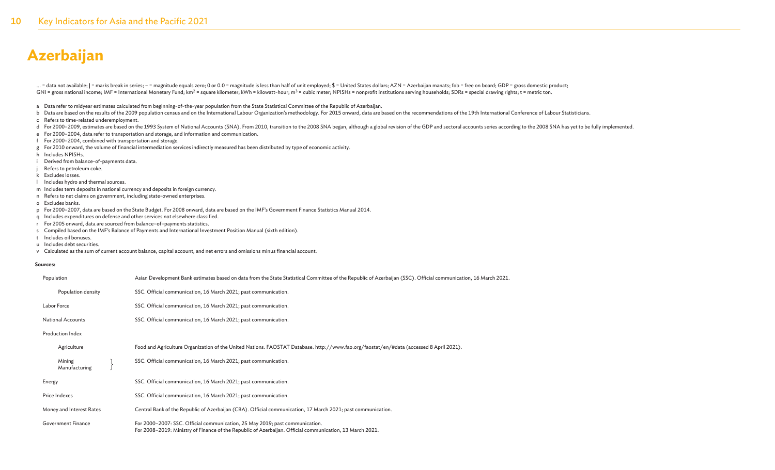... = data not available; | = marks break in series; - = magnitude equals zero; 0 or 0.0 = magnitude is less than half of unit employed; \$ = United States dollars; AZN = Azerbaijan manats; fob = free on board; GDP = gross GNI = gross national income; IMF = International Monetary Fund; km<sup>2</sup> = square kilometer; kWh = kilowatt-hour; m<sup>3</sup> = cubic meter; NPISHs = nonprofit institutions serving households; SDRs = special drawing rights; t = met

- a Data refer to midyear estimates calculated from beginning-of-the-year population from the State Statistical Committee of the Republic of Azerbaijan.
- b Data are based on the results of the 2009 population census and on the International Labour Organization's methodology. For 2015 onward, data are based on the recommendations of the 19th International Conference of Labou
- c Refers to time-related underemployment.
- d For 2000-2009, estimates are based on the 1993 System of National Accounts (SNA). From 2010, transition to the 2008 SNA began, although a global revision of the GDP and sectoral accounts series according to the 2008 SNA
- e For 2000–2004, data refer to transportation and storage, and information and communication.
- f For 2000–2004, combined with transportation and storage.
- g For 2010 onward, the volume of financial intermediation services indirectly measured has been distributed by type of economic activity.
- h Includes NPISHs.
- i Derived from balance-of-payments data.
- Refers to petroleum coke.
- k Excludes losses.
- l Includes hydro and thermal sources.
- m Includes term deposits in national currency and deposits in foreign currency.
- n Refers to net claims on government, including state-owned enterprises.
- o Excludes banks.
- p For 2000–2007, data are based on the State Budget. For 2008 onward, data are based on the IMF's Government Finance Statistics Manual 2014.
- q Includes expenditures on defense and other services not elsewhere classified.
- r For 2005 onward, data are sourced from balance–of–payments statistics.
- s Compiled based on the IMF's Balance of Payments and International Investment Position Manual (sixth edition).
- t Includes oil bonuses.
- u Includes debt securities.
- v Calculated as the sum of current account balance, capital account, and net errors and omissions minus financial account.

#### **Sources:**

| Population               | Asian Development Bank estimates based on data from the State Statistical Committee of the Republic of Azerbaijan (SSC). Official communication, 16 March 2021.                          |
|--------------------------|------------------------------------------------------------------------------------------------------------------------------------------------------------------------------------------|
| Population density       | SSC. Official communication, 16 March 2021; past communication.                                                                                                                          |
| Labor Force              | SSC. Official communication, 16 March 2021; past communication.                                                                                                                          |
| <b>National Accounts</b> | SSC. Official communication, 16 March 2021; past communication.                                                                                                                          |
| Production Index         |                                                                                                                                                                                          |
| Agriculture              | Food and Agriculture Organization of the United Nations. FAOSTAT Database. http://www.fao.org/faostat/en/#data (accessed 8 April 2021).                                                  |
| Mining<br>Manufacturing  | SSC. Official communication, 16 March 2021; past communication.                                                                                                                          |
| Energy                   | SSC. Official communication, 16 March 2021; past communication.                                                                                                                          |
| Price Indexes            | SSC. Official communication, 16 March 2021; past communication.                                                                                                                          |
| Money and Interest Rates | Central Bank of the Republic of Azerbaijan (CBA). Official communication, 17 March 2021; past communication.                                                                             |
| Government Finance       | For 2000-2007: SSC. Official communication, 25 May 2019; past communication.<br>For 2008–2019: Ministry of Finance of the Republic of Azerbaijan. Official communication, 13 March 2021. |